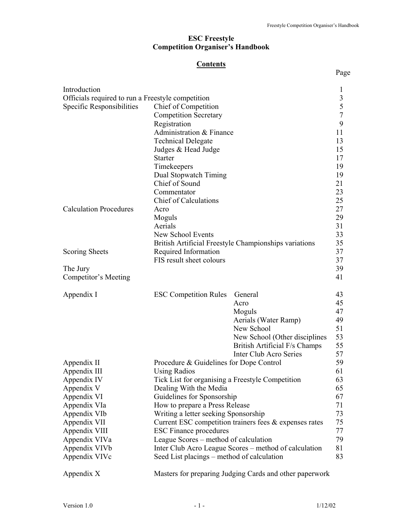# **Contents**

Page **Page** 

| Introduction                                      |                                                  |                                                           | $\mathbf{1}$  |
|---------------------------------------------------|--------------------------------------------------|-----------------------------------------------------------|---------------|
| Officials required to run a Freestyle competition |                                                  |                                                           | $\frac{3}{5}$ |
| Specific Responsibilities                         | Chief of Competition                             |                                                           |               |
|                                                   | <b>Competition Secretary</b>                     |                                                           |               |
|                                                   | Registration                                     |                                                           | 9             |
|                                                   | Administration & Finance                         |                                                           | 11            |
|                                                   | <b>Technical Delegate</b>                        |                                                           | 13            |
|                                                   | Judges & Head Judge                              |                                                           | 15            |
|                                                   | <b>Starter</b>                                   |                                                           | 17            |
|                                                   | Timekeepers                                      |                                                           | 19            |
|                                                   | Dual Stopwatch Timing                            |                                                           | 19            |
|                                                   | Chief of Sound                                   |                                                           | 21            |
|                                                   | Commentator                                      |                                                           | 23            |
|                                                   | <b>Chief of Calculations</b>                     |                                                           | 25            |
| <b>Calculation Procedures</b>                     | Acro                                             |                                                           | 27            |
|                                                   | Moguls                                           |                                                           | 29            |
|                                                   | Aerials                                          |                                                           | 31            |
|                                                   | New School Events                                |                                                           | 33            |
|                                                   |                                                  | British Artificial Freestyle Championships variations     | 35            |
| Scoring Sheets                                    | Required Information                             |                                                           | 37<br>37      |
|                                                   | FIS result sheet colours                         |                                                           | 39            |
| The Jury                                          |                                                  |                                                           | 41            |
| Competitor's Meeting                              |                                                  |                                                           |               |
| Appendix I                                        | <b>ESC Competition Rules</b>                     | General                                                   | 43            |
|                                                   |                                                  | Acro                                                      | 45            |
|                                                   |                                                  | Moguls                                                    | 47            |
|                                                   |                                                  | Aerials (Water Ramp)                                      | 49            |
|                                                   |                                                  | New School                                                | 51            |
|                                                   |                                                  | New School (Other disciplines                             | 53            |
|                                                   |                                                  | British Artificial F/s Champs                             | 55            |
|                                                   |                                                  | <b>Inter Club Acro Series</b>                             | 57            |
| Appendix II                                       | Procedure & Guidelines for Dope Control          |                                                           | 59            |
| Appendix III                                      | <b>Using Radios</b>                              |                                                           | 61            |
| Appendix IV                                       | Tick List for organising a Freestyle Competition |                                                           | 63            |
| Appendix V                                        | Dealing With the Media                           |                                                           | 65            |
| Appendix VI                                       | Guidelines for Sponsorship                       |                                                           | 67            |
| Appendix VIa                                      | How to prepare a Press Release                   |                                                           | 71            |
| Appendix VIb                                      | Writing a letter seeking Sponsorship             |                                                           | 73            |
| Appendix VII                                      |                                                  | Current ESC competition trainers fees $\&$ expenses rates | 75            |
| Appendix VIII                                     | <b>ESC Finance procedures</b>                    |                                                           | 77            |
| Appendix VIVa                                     | League Scores – method of calculation            |                                                           | 79            |
| Appendix VIV <sub>b</sub>                         |                                                  | Inter Club Acro League Scores – method of calculation     | 81            |
| Appendix VIVc                                     | Seed List placings – method of calculation       |                                                           | 83            |
| Appendix X                                        |                                                  | Masters for preparing Judging Cards and other paperwork   |               |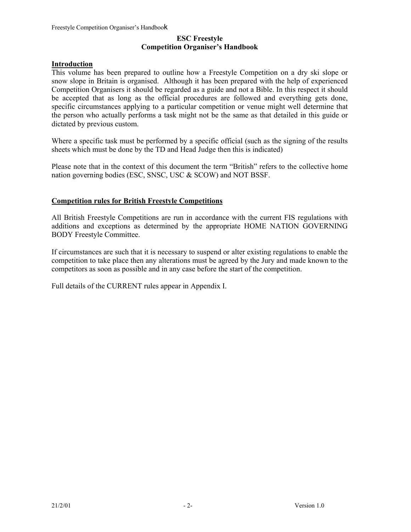# **Introduction**

This volume has been prepared to outline how a Freestyle Competition on a dry ski slope or snow slope in Britain is organised. Although it has been prepared with the help of experienced Competition Organisers it should be regarded as a guide and not a Bible. In this respect it should be accepted that as long as the official procedures are followed and everything gets done, specific circumstances applying to a particular competition or venue might well determine that the person who actually performs a task might not be the same as that detailed in this guide or dictated by previous custom.

Where a specific task must be performed by a specific official (such as the signing of the results sheets which must be done by the TD and Head Judge then this is indicated)

Please note that in the context of this document the term "British" refers to the collective home nation governing bodies (ESC, SNSC, USC & SCOW) and NOT BSSF.

## **Competition rules for British Freestyle Competitions**

All British Freestyle Competitions are run in accordance with the current FIS regulations with additions and exceptions as determined by the appropriate HOME NATION GOVERNING BODY Freestyle Committee.

If circumstances are such that it is necessary to suspend or alter existing regulations to enable the competition to take place then any alterations must be agreed by the Jury and made known to the competitors as soon as possible and in any case before the start of the competition.

Full details of the CURRENT rules appear in Appendix I.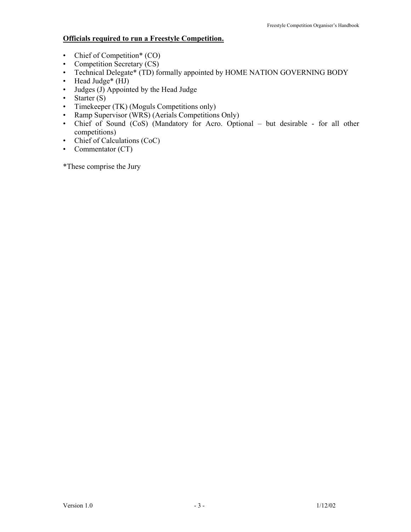# **Officials required to run a Freestyle Competition.**

- Chief of Competition\* (CO)
- Competition Secretary (CS)
- Technical Delegate\* (TD) formally appointed by HOME NATION GOVERNING BODY
- Head Judge<sup>\*</sup> (HJ)
- Judges (J) Appointed by the Head Judge
- Starter (S)
- Timekeeper (TK) (Moguls Competitions only)
- Ramp Supervisor (WRS) (Aerials Competitions Only)
- Chief of Sound (CoS) (Mandatory for Acro. Optional but desirable for all other competitions)
- Chief of Calculations (CoC)
- Commentator (CT)

\*These comprise the Jury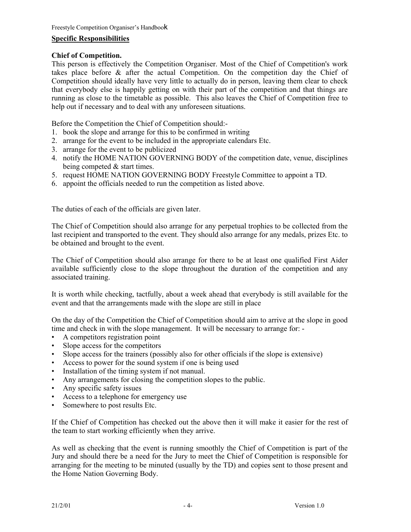# **Specific Responsibilities**

# **Chief of Competition.**

This person is effectively the Competition Organiser. Most of the Chief of Competition's work takes place before & after the actual Competition. On the competition day the Chief of Competition should ideally have very little to actually do in person, leaving them clear to check that everybody else is happily getting on with their part of the competition and that things are running as close to the timetable as possible. This also leaves the Chief of Competition free to help out if necessary and to deal with any unforeseen situations.

Before the Competition the Chief of Competition should:-

- 1. book the slope and arrange for this to be confirmed in writing
- 2. arrange for the event to be included in the appropriate calendars Etc.
- 3. arrange for the event to be publicized
- 4. notify the HOME NATION GOVERNING BODY of the competition date, venue, disciplines being competed & start times.
- 5. request HOME NATION GOVERNING BODY Freestyle Committee to appoint a TD.
- 6. appoint the officials needed to run the competition as listed above.

The duties of each of the officials are given later.

The Chief of Competition should also arrange for any perpetual trophies to be collected from the last recipient and transported to the event. They should also arrange for any medals, prizes Etc. to be obtained and brought to the event.

The Chief of Competition should also arrange for there to be at least one qualified First Aider available sufficiently close to the slope throughout the duration of the competition and any associated training.

It is worth while checking, tactfully, about a week ahead that everybody is still available for the event and that the arrangements made with the slope are still in place

On the day of the Competition the Chief of Competition should aim to arrive at the slope in good time and check in with the slope management. It will be necessary to arrange for: -

- A competitors registration point
- Slope access for the competitors
- Slope access for the trainers (possibly also for other officials if the slope is extensive)
- Access to power for the sound system if one is being used
- Installation of the timing system if not manual.
- Any arrangements for closing the competition slopes to the public.
- Any specific safety issues
- Access to a telephone for emergency use
- Somewhere to post results Etc.

If the Chief of Competition has checked out the above then it will make it easier for the rest of the team to start working efficiently when they arrive.

As well as checking that the event is running smoothly the Chief of Competition is part of the Jury and should there be a need for the Jury to meet the Chief of Competition is responsible for arranging for the meeting to be minuted (usually by the TD) and copies sent to those present and the Home Nation Governing Body.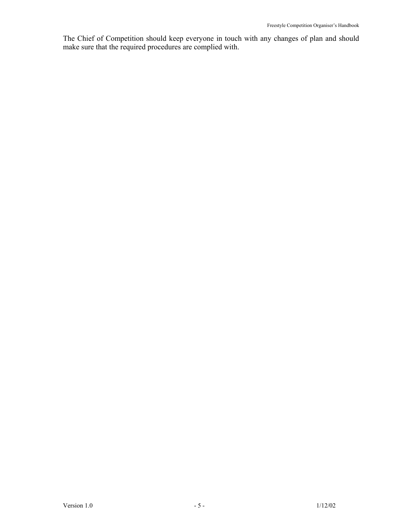The Chief of Competition should keep everyone in touch with any changes of plan and should make sure that the required procedures are complied with.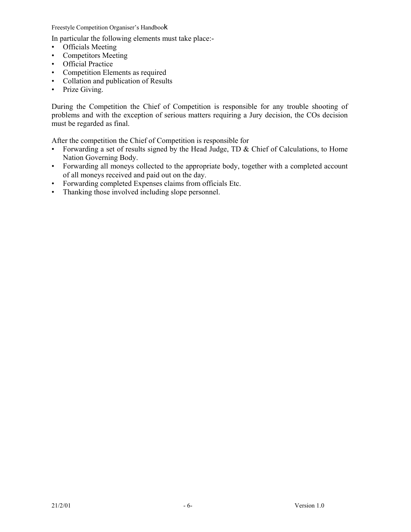In particular the following elements must take place:-

- Officials Meeting
- Competitors Meeting
- Official Practice
- Competition Elements as required
- Collation and publication of Results
- Prize Giving.

During the Competition the Chief of Competition is responsible for any trouble shooting of problems and with the exception of serious matters requiring a Jury decision, the COs decision must be regarded as final.

After the competition the Chief of Competition is responsible for

- Forwarding a set of results signed by the Head Judge, TD & Chief of Calculations, to Home Nation Governing Body.
- Forwarding all moneys collected to the appropriate body, together with a completed account of all moneys received and paid out on the day.
- Forwarding completed Expenses claims from officials Etc.
- Thanking those involved including slope personnel.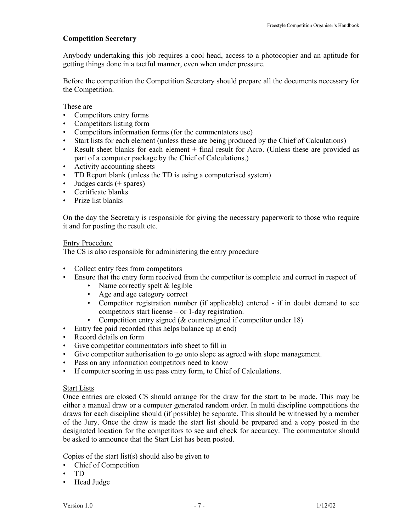## **Competition Secretary**

Anybody undertaking this job requires a cool head, access to a photocopier and an aptitude for getting things done in a tactful manner, even when under pressure.

Before the competition the Competition Secretary should prepare all the documents necessary for the Competition.

These are

- Competitors entry forms
- Competitors listing form
- Competitors information forms (for the commentators use)
- Start lists for each element (unless these are being produced by the Chief of Calculations)
- Result sheet blanks for each element + final result for Acro. (Unless these are provided as part of a computer package by the Chief of Calculations.)
- Activity accounting sheets
- TD Report blank (unless the TD is using a computerised system)
- Judges cards (+ spares)
- Certificate blanks
- Prize list blanks

On the day the Secretary is responsible for giving the necessary paperwork to those who require it and for posting the result etc.

#### Entry Procedure

The CS is also responsible for administering the entry procedure

- Collect entry fees from competitors
- Ensure that the entry form received from the competitor is complete and correct in respect of
	- Name correctly spelt & legible
	- Age and age category correct
	- Competitor registration number (if applicable) entered if in doubt demand to see competitors start license – or 1-day registration.
	- Competition entry signed (& countersigned if competitor under 18)
- Entry fee paid recorded (this helps balance up at end)
- Record details on form
- Give competitor commentators info sheet to fill in
- Give competitor authorisation to go onto slope as agreed with slope management.
- Pass on any information competitors need to know
- If computer scoring in use pass entry form, to Chief of Calculations.

#### Start Lists

Once entries are closed CS should arrange for the draw for the start to be made. This may be either a manual draw or a computer generated random order. In multi discipline competitions the draws for each discipline should (if possible) be separate. This should be witnessed by a member of the Jury. Once the draw is made the start list should be prepared and a copy posted in the designated location for the competitors to see and check for accuracy. The commentator should be asked to announce that the Start List has been posted.

Copies of the start list(s) should also be given to

- Chief of Competition
- TD
- Head Judge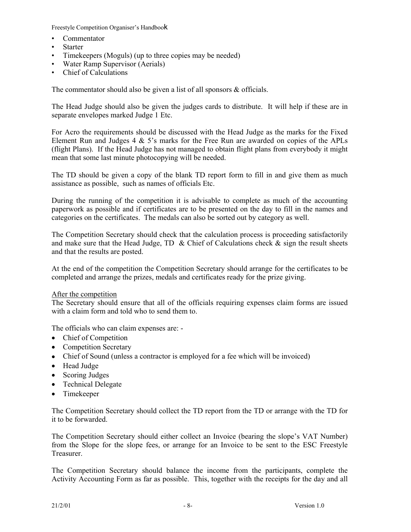- Commentator
- Starter
- Timekeepers (Moguls) (up to three copies may be needed)
- Water Ramp Supervisor (Aerials)
- Chief of Calculations

The commentator should also be given a list of all sponsors & officials.

The Head Judge should also be given the judges cards to distribute. It will help if these are in separate envelopes marked Judge 1 Etc.

For Acro the requirements should be discussed with the Head Judge as the marks for the Fixed Element Run and Judges 4 & 5's marks for the Free Run are awarded on copies of the APLs (flight Plans). If the Head Judge has not managed to obtain flight plans from everybody it might mean that some last minute photocopying will be needed.

The TD should be given a copy of the blank TD report form to fill in and give them as much assistance as possible, such as names of officials Etc.

During the running of the competition it is advisable to complete as much of the accounting paperwork as possible and if certificates are to be presented on the day to fill in the names and categories on the certificates. The medals can also be sorted out by category as well.

The Competition Secretary should check that the calculation process is proceeding satisfactorily and make sure that the Head Judge, TD & Chief of Calculations check  $\&$  sign the result sheets and that the results are posted.

At the end of the competition the Competition Secretary should arrange for the certificates to be completed and arrange the prizes, medals and certificates ready for the prize giving.

#### After the competition

The Secretary should ensure that all of the officials requiring expenses claim forms are issued with a claim form and told who to send them to.

The officials who can claim expenses are: -

- Chief of Competition
- Competition Secretary
- Chief of Sound (unless a contractor is employed for a fee which will be invoiced)
- Head Judge
- Scoring Judges
- Technical Delegate
- Timekeeper

The Competition Secretary should collect the TD report from the TD or arrange with the TD for it to be forwarded.

The Competition Secretary should either collect an Invoice (bearing the slope's VAT Number) from the Slope for the slope fees, or arrange for an Invoice to be sent to the ESC Freestyle Treasurer.

The Competition Secretary should balance the income from the participants, complete the Activity Accounting Form as far as possible. This, together with the receipts for the day and all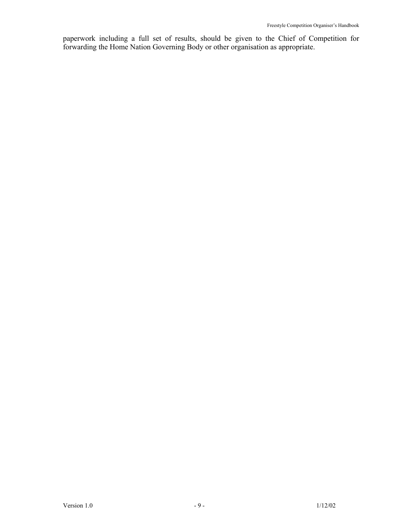paperwork including a full set of results, should be given to the Chief of Competition for forwarding the Home Nation Governing Body or other organisation as appropriate.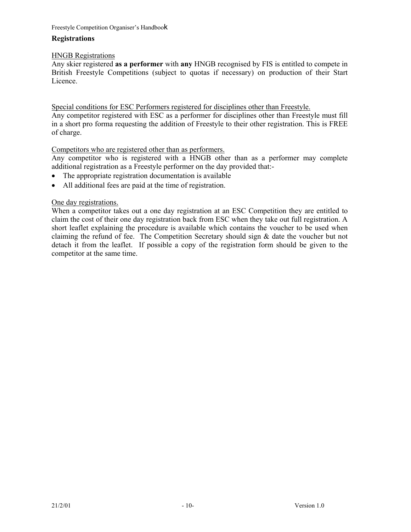# **Registrations**

# HNGB Registrations

Any skier registered **as a performer** with **any** HNGB recognised by FIS is entitled to compete in British Freestyle Competitions (subject to quotas if necessary) on production of their Start Licence.

Special conditions for ESC Performers registered for disciplines other than Freestyle.

Any competitor registered with ESC as a performer for disciplines other than Freestyle must fill in a short pro forma requesting the addition of Freestyle to their other registration. This is FREE of charge.

# Competitors who are registered other than as performers.

Any competitor who is registered with a HNGB other than as a performer may complete additional registration as a Freestyle performer on the day provided that:-

- The appropriate registration documentation is available
- All additional fees are paid at the time of registration.

# One day registrations.

When a competitor takes out a one day registration at an ESC Competition they are entitled to claim the cost of their one day registration back from ESC when they take out full registration. A short leaflet explaining the procedure is available which contains the voucher to be used when claiming the refund of fee. The Competition Secretary should sign & date the voucher but not detach it from the leaflet. If possible a copy of the registration form should be given to the competitor at the same time.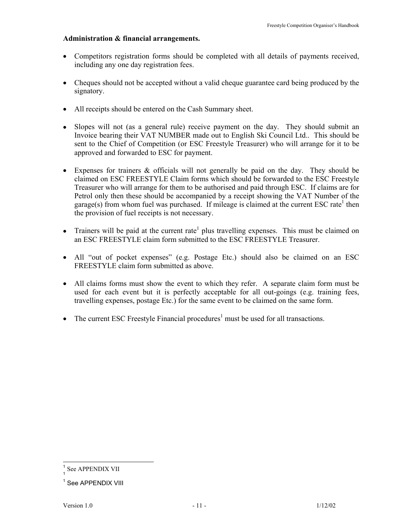## **Administration & financial arrangements.**

- Competitors registration forms should be completed with all details of payments received, including any one day registration fees.
- Cheques should not be accepted without a valid cheque guarantee card being produced by the signatory.
- All receipts should be entered on the Cash Summary sheet.
- Slopes will not (as a general rule) receive payment on the day. They should submit an Invoice bearing their VAT NUMBER made out to English Ski Council Ltd.. This should be sent to the Chief of Competition (or ESC Freestyle Treasurer) who will arrange for it to be approved and forwarded to ESC for payment.
- Expenses for trainers & officials will not generally be paid on the day. They should be claimed on ESC FREESTYLE Claim forms which should be forwarded to the ESC Freestyle Treasurer who will arrange for them to be authorised and paid through ESC. If claims are for Petrol only then these should be accompanied by a receipt showing the VAT Number of the garage(s) from whom fuel was purchased. If mileage is claimed at the current ESC rate<sup>1</sup> then the provision of fuel receipts is not necessary.
- Trainers will be paid at the current rate<sup>1</sup> plus travelling expenses. This must be claimed on an ESC FREESTYLE claim form submitted to the ESC FREESTYLE Treasurer.
- All "out of pocket expenses" (e.g. Postage Etc.) should also be claimed on an ESC FREESTYLE claim form submitted as above.
- All claims forms must show the event to which they refer. A separate claim form must be used for each event but it is perfectly acceptable for all out-goings (e.g. training fees, travelling expenses, postage Etc.) for the same event to be claimed on the same form.
- The current ESC Freestyle Financial procedures<sup>1</sup> must be used for all transactions.

 $\overline{a}$ 

See APPENDIX VII

<sup>&</sup>lt;sup>1</sup> See APPENDIX VIII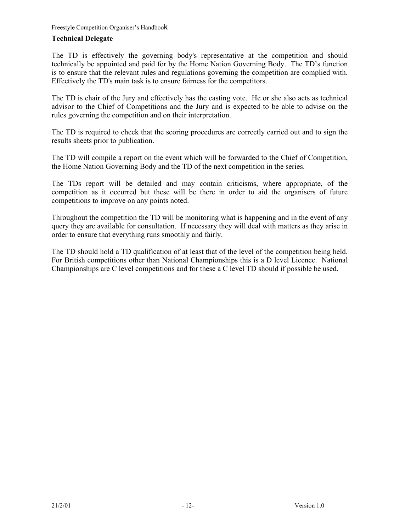# **Technical Delegate**

The TD is effectively the governing body's representative at the competition and should technically be appointed and paid for by the Home Nation Governing Body. The TD's function is to ensure that the relevant rules and regulations governing the competition are complied with. Effectively the TD's main task is to ensure fairness for the competitors.

The TD is chair of the Jury and effectively has the casting vote. He or she also acts as technical advisor to the Chief of Competitions and the Jury and is expected to be able to advise on the rules governing the competition and on their interpretation.

The TD is required to check that the scoring procedures are correctly carried out and to sign the results sheets prior to publication.

The TD will compile a report on the event which will be forwarded to the Chief of Competition, the Home Nation Governing Body and the TD of the next competition in the series.

The TDs report will be detailed and may contain criticisms, where appropriate, of the competition as it occurred but these will be there in order to aid the organisers of future competitions to improve on any points noted.

Throughout the competition the TD will be monitoring what is happening and in the event of any query they are available for consultation. If necessary they will deal with matters as they arise in order to ensure that everything runs smoothly and fairly.

The TD should hold a TD qualification of at least that of the level of the competition being held. For British competitions other than National Championships this is a D level Licence. National Championships are C level competitions and for these a C level TD should if possible be used.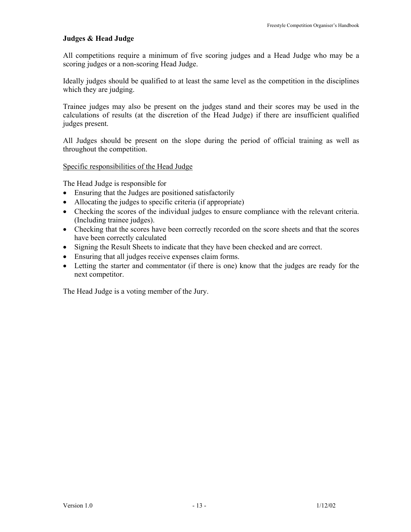# **Judges & Head Judge**

All competitions require a minimum of five scoring judges and a Head Judge who may be a scoring judges or a non-scoring Head Judge.

Ideally judges should be qualified to at least the same level as the competition in the disciplines which they are judging.

Trainee judges may also be present on the judges stand and their scores may be used in the calculations of results (at the discretion of the Head Judge) if there are insufficient qualified judges present.

All Judges should be present on the slope during the period of official training as well as throughout the competition.

Specific responsibilities of the Head Judge

The Head Judge is responsible for

- Ensuring that the Judges are positioned satisfactorily
- Allocating the judges to specific criteria (if appropriate)
- Checking the scores of the individual judges to ensure compliance with the relevant criteria. (Including trainee judges).
- Checking that the scores have been correctly recorded on the score sheets and that the scores have been correctly calculated
- Signing the Result Sheets to indicate that they have been checked and are correct.
- Ensuring that all judges receive expenses claim forms.
- Letting the starter and commentator (if there is one) know that the judges are ready for the next competitor.

The Head Judge is a voting member of the Jury.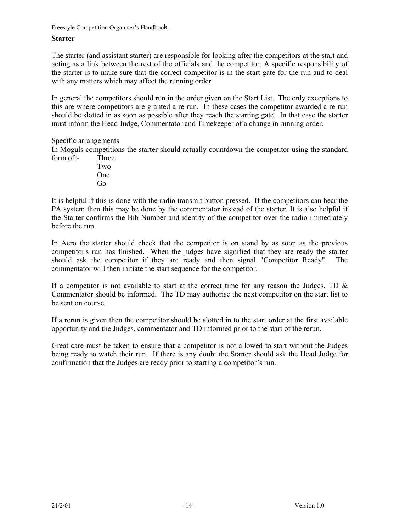#### **Starter**

The starter (and assistant starter) are responsible for looking after the competitors at the start and acting as a link between the rest of the officials and the competitor. A specific responsibility of the starter is to make sure that the correct competitor is in the start gate for the run and to deal with any matters which may affect the running order.

In general the competitors should run in the order given on the Start List. The only exceptions to this are where competitors are granted a re-run. In these cases the competitor awarded a re-run should be slotted in as soon as possible after they reach the starting gate. In that case the starter must inform the Head Judge, Commentator and Timekeeper of a change in running order.

#### Specific arrangements

In Moguls competitions the starter should actually countdown the competitor using the standard form of:- Three

 Two One Go

It is helpful if this is done with the radio transmit button pressed. If the competitors can hear the PA system then this may be done by the commentator instead of the starter. It is also helpful if the Starter confirms the Bib Number and identity of the competitor over the radio immediately before the run.

In Acro the starter should check that the competitor is on stand by as soon as the previous competitor's run has finished. When the judges have signified that they are ready the starter should ask the competitor if they are ready and then signal "Competitor Ready". The commentator will then initiate the start sequence for the competitor.

If a competitor is not available to start at the correct time for any reason the Judges, TD  $\&$ Commentator should be informed. The TD may authorise the next competitor on the start list to be sent on course.

If a rerun is given then the competitor should be slotted in to the start order at the first available opportunity and the Judges, commentator and TD informed prior to the start of the rerun.

Great care must be taken to ensure that a competitor is not allowed to start without the Judges being ready to watch their run. If there is any doubt the Starter should ask the Head Judge for confirmation that the Judges are ready prior to starting a competitor's run.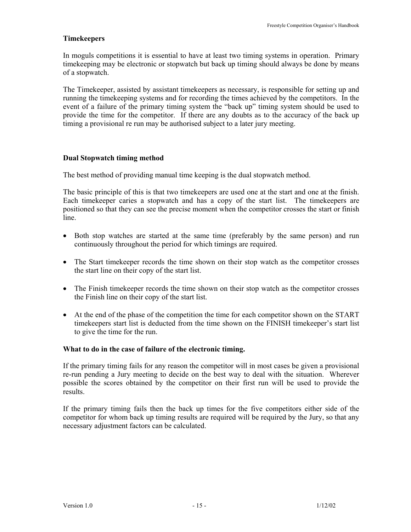# **Timekeepers**

In moguls competitions it is essential to have at least two timing systems in operation. Primary timekeeping may be electronic or stopwatch but back up timing should always be done by means of a stopwatch.

The Timekeeper, assisted by assistant timekeepers as necessary, is responsible for setting up and running the timekeeping systems and for recording the times achieved by the competitors. In the event of a failure of the primary timing system the "back up" timing system should be used to provide the time for the competitor. If there are any doubts as to the accuracy of the back up timing a provisional re run may be authorised subject to a later jury meeting.

## **Dual Stopwatch timing method**

The best method of providing manual time keeping is the dual stopwatch method.

The basic principle of this is that two timekeepers are used one at the start and one at the finish. Each timekeeper caries a stopwatch and has a copy of the start list. The timekeepers are positioned so that they can see the precise moment when the competitor crosses the start or finish line.

- Both stop watches are started at the same time (preferably by the same person) and run continuously throughout the period for which timings are required.
- The Start timekeeper records the time shown on their stop watch as the competitor crosses the start line on their copy of the start list.
- The Finish timekeeper records the time shown on their stop watch as the competitor crosses the Finish line on their copy of the start list.
- At the end of the phase of the competition the time for each competitor shown on the START timekeepers start list is deducted from the time shown on the FINISH timekeeper's start list to give the time for the run.

# **What to do in the case of failure of the electronic timing.**

If the primary timing fails for any reason the competitor will in most cases be given a provisional re-run pending a Jury meeting to decide on the best way to deal with the situation. Wherever possible the scores obtained by the competitor on their first run will be used to provide the results.

If the primary timing fails then the back up times for the five competitors either side of the competitor for whom back up timing results are required will be required by the Jury, so that any necessary adjustment factors can be calculated.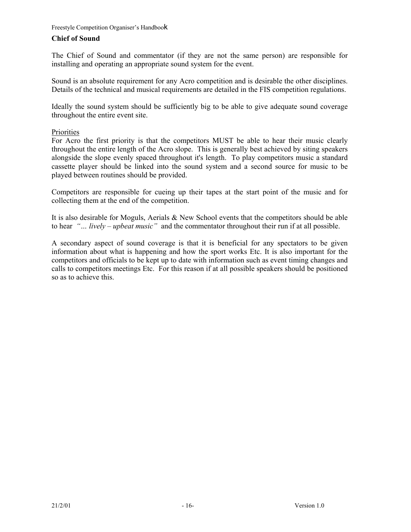# **Chief of Sound**

The Chief of Sound and commentator (if they are not the same person) are responsible for installing and operating an appropriate sound system for the event.

Sound is an absolute requirement for any Acro competition and is desirable the other disciplines. Details of the technical and musical requirements are detailed in the FIS competition regulations.

Ideally the sound system should be sufficiently big to be able to give adequate sound coverage throughout the entire event site.

# Priorities

For Acro the first priority is that the competitors MUST be able to hear their music clearly throughout the entire length of the Acro slope. This is generally best achieved by siting speakers alongside the slope evenly spaced throughout it's length. To play competitors music a standard cassette player should be linked into the sound system and a second source for music to be played between routines should be provided.

Competitors are responsible for cueing up their tapes at the start point of the music and for collecting them at the end of the competition.

It is also desirable for Moguls, Aerials & New School events that the competitors should be able to hear *"… lively – upbeat music"* and the commentator throughout their run if at all possible.

A secondary aspect of sound coverage is that it is beneficial for any spectators to be given information about what is happening and how the sport works Etc. It is also important for the competitors and officials to be kept up to date with information such as event timing changes and calls to competitors meetings Etc. For this reason if at all possible speakers should be positioned so as to achieve this.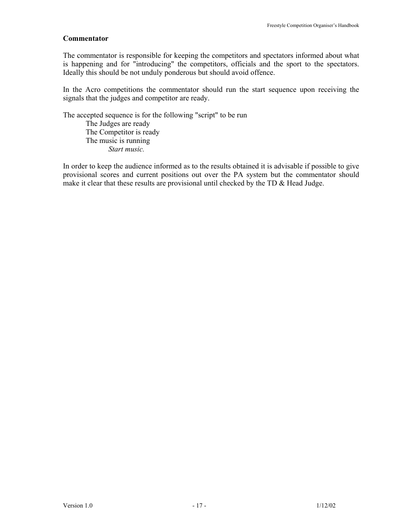#### **Commentator**

The commentator is responsible for keeping the competitors and spectators informed about what is happening and for "introducing" the competitors, officials and the sport to the spectators. Ideally this should be not unduly ponderous but should avoid offence.

In the Acro competitions the commentator should run the start sequence upon receiving the signals that the judges and competitor are ready.

The accepted sequence is for the following "script" to be run The Judges are ready The Competitor is ready The music is running *Start music.* 

In order to keep the audience informed as to the results obtained it is advisable if possible to give provisional scores and current positions out over the PA system but the commentator should make it clear that these results are provisional until checked by the TD  $\&$  Head Judge.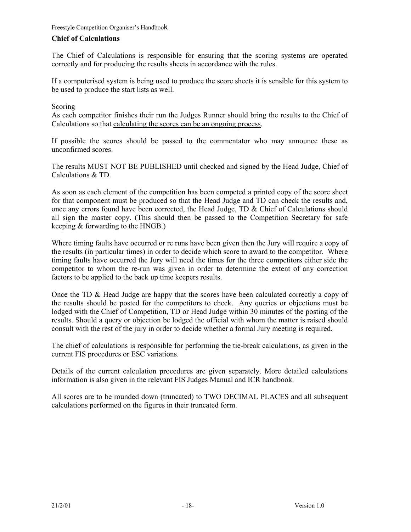## **Chief of Calculations**

The Chief of Calculations is responsible for ensuring that the scoring systems are operated correctly and for producing the results sheets in accordance with the rules.

If a computerised system is being used to produce the score sheets it is sensible for this system to be used to produce the start lists as well.

## Scoring

As each competitor finishes their run the Judges Runner should bring the results to the Chief of Calculations so that calculating the scores can be an ongoing process.

If possible the scores should be passed to the commentator who may announce these as unconfirmed scores.

The results MUST NOT BE PUBLISHED until checked and signed by the Head Judge, Chief of Calculations & TD.

As soon as each element of the competition has been competed a printed copy of the score sheet for that component must be produced so that the Head Judge and TD can check the results and, once any errors found have been corrected, the Head Judge, TD & Chief of Calculations should all sign the master copy. (This should then be passed to the Competition Secretary for safe keeping & forwarding to the HNGB.)

Where timing faults have occurred or re runs have been given then the Jury will require a copy of the results (in particular times) in order to decide which score to award to the competitor. Where timing faults have occurred the Jury will need the times for the three competitors either side the competitor to whom the re-run was given in order to determine the extent of any correction factors to be applied to the back up time keepers results.

Once the TD & Head Judge are happy that the scores have been calculated correctly a copy of the results should be posted for the competitors to check. Any queries or objections must be lodged with the Chief of Competition, TD or Head Judge within 30 minutes of the posting of the results. Should a query or objection be lodged the official with whom the matter is raised should consult with the rest of the jury in order to decide whether a formal Jury meeting is required.

The chief of calculations is responsible for performing the tie-break calculations, as given in the current FIS procedures or ESC variations.

Details of the current calculation procedures are given separately. More detailed calculations information is also given in the relevant FIS Judges Manual and ICR handbook.

All scores are to be rounded down (truncated) to TWO DECIMAL PLACES and all subsequent calculations performed on the figures in their truncated form.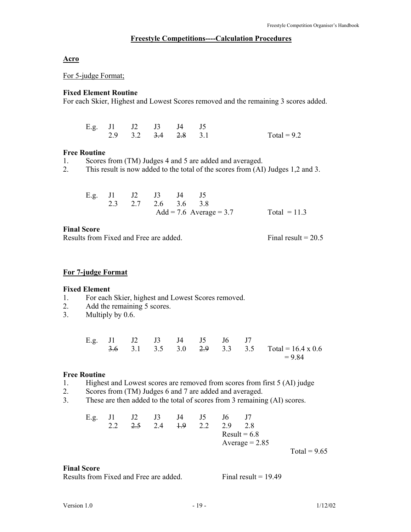#### **Freestyle Competitions----Calculation Procedures**

#### **Acro**

For 5-judge Format;

# **Fixed Element Routine**

For each Skier, Highest and Lowest Scores removed and the remaining 3 scores added.

| E.g. J1 J2 J3 J4 J5 |                                           |  |               |
|---------------------|-------------------------------------------|--|---------------|
|                     | 2.9 3.2 <del>3.4</del> <del>2.8</del> 3.1 |  | Total = $9.2$ |

#### **Free Routine**

1. Scores from (TM) Judges 4 and 5 are added and averaged.

2. This result is now added to the total of the scores from (AI) Judges 1,2 and 3.

|  | E.g. J1 J2 J3 J4 J5 |  |                         |                |
|--|---------------------|--|-------------------------|----------------|
|  | 2.3 2.7 2.6 3.6 3.8 |  |                         |                |
|  |                     |  | Add = 7.6 Average = 3.7 | Total = $11.3$ |

#### **Final Score**

Results from Fixed and Free are added. Final result = 20.5

#### **For 7-judge Format**

#### **Fixed Element**

- 1. For each Skier, highest and Lowest Scores removed.
- 2. Add the remaining 5 scores.
- 3. Multiply by 0.6.

|  |  | E.g. J1 J2 J3 J4 J5 J6 J7 |  |                                                                    |
|--|--|---------------------------|--|--------------------------------------------------------------------|
|  |  |                           |  | $\frac{3.6}{3.1}$ 3.5 3.0 $\frac{2.9}{3.3}$ 3.5 Total = 16.4 x 0.6 |
|  |  |                           |  | $= 9.84$                                                           |

#### **Free Routine**

- 1. Highest and Lowest scores are removed from scores from first 5 (AI) judge
- 2. Scores from (TM) Judges 6 and 7 are added and averaged.
- 3. These are then added to the total of scores from 3 remaining (AI) scores.

|  |  | E.g. J1 J2 J3 J4 J5 |                 | J6 |                  |                |  |
|--|--|---------------------|-----------------|----|------------------|----------------|--|
|  |  |                     | 2.5 2.4 1.9 2.2 | 29 | 28               |                |  |
|  |  |                     |                 |    | $Result = 6.8$   |                |  |
|  |  |                     |                 |    | Average $= 2.85$ |                |  |
|  |  |                     |                 |    |                  | Total = $9.65$ |  |

#### **Final Score**

Results from Fixed and Free are added. Final result = 19.49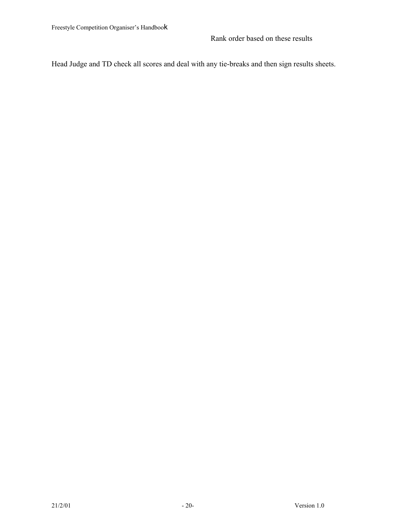Head Judge and TD check all scores and deal with any tie-breaks and then sign results sheets.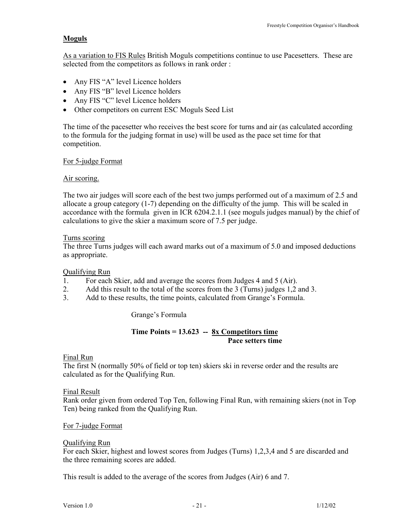# **Moguls**

As a variation to FIS Rules British Moguls competitions continue to use Pacesetters. These are selected from the competitors as follows in rank order :

- Any FIS "A" level Licence holders
- Any FIS "B" level Licence holders
- Any FIS "C" level Licence holders
- Other competitors on current ESC Moguls Seed List

The time of the pacesetter who receives the best score for turns and air (as calculated according to the formula for the judging format in use) will be used as the pace set time for that competition.

## For 5-judge Format

## Air scoring.

The two air judges will score each of the best two jumps performed out of a maximum of 2.5 and allocate a group category (1-7) depending on the difficulty of the jump. This will be scaled in accordance with the formula given in ICR 6204.2.1.1 (see moguls judges manual) by the chief of calculations to give the skier a maximum score of 7.5 per judge.

#### Turns scoring

The three Turns judges will each award marks out of a maximum of 5.0 and imposed deductions as appropriate.

#### Qualifying Run

- 1. For each Skier, add and average the scores from Judges 4 and 5 (Air).
- 2. Add this result to the total of the scores from the 3 (Turns) judges 1,2 and 3.
- 3. Add to these results, the time points, calculated from Grange's Formula.

Grange's Formula

#### **Time Points = 13.623 -- 8x Competitors time Pace setters time**

#### Final Run

The first N (normally 50% of field or top ten) skiers ski in reverse order and the results are calculated as for the Qualifying Run.

#### Final Result

Rank order given from ordered Top Ten, following Final Run, with remaining skiers (not in Top Ten) being ranked from the Qualifying Run.

#### For 7-judge Format

#### Qualifying Run

For each Skier, highest and lowest scores from Judges (Turns) 1,2,3,4 and 5 are discarded and the three remaining scores are added.

This result is added to the average of the scores from Judges (Air) 6 and 7.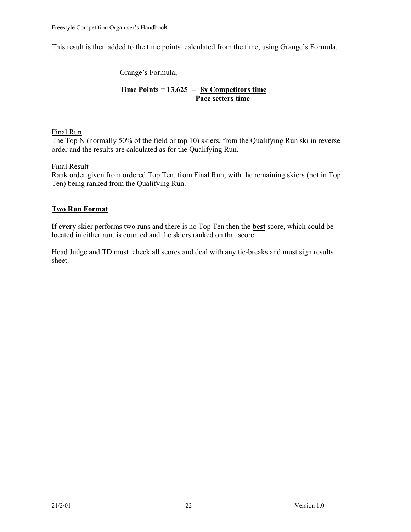This result is then added to the time points calculated from the time, using Grange's Formula.

Grange's Formula;

# **Time Points = 13.625 -- 8x Competitors time Pace setters time**

# Final Run

The Top N (normally 50% of the field or top 10) skiers, from the Qualifying Run ski in reverse order and the results are calculated as for the Qualifying Run.

# Final Result

Rank order given from ordered Top Ten, from Final Run, with the remaining skiers (not in Top Ten) being ranked from the Qualifying Run.

# **Two Run Format**

If **every** skier performs two runs and there is no Top Ten then the **best** score, which could be located in either run, is counted and the skiers ranked on that score

Head Judge and TD must check all scores and deal with any tie-breaks and must sign results sheet.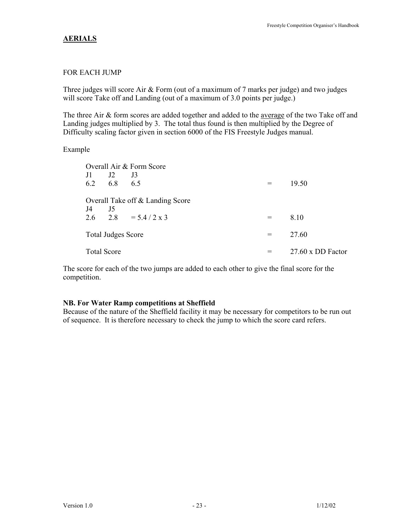# **AERIALS**

## FOR EACH JUMP

Three judges will score Air & Form (out of a maximum of 7 marks per judge) and two judges will score Take off and Landing (out of a maximum of 3.0 points per judge.)

The three Air & form scores are added together and added to the average of the two Take off and Landing judges multiplied by 3. The total thus found is then multiplied by the Degree of Difficulty scaling factor given in section 6000 of the FIS Freestyle Judges manual.

#### Example

|                           |     | Overall Air & Form Score         |     |                          |
|---------------------------|-----|----------------------------------|-----|--------------------------|
| J1                        | J2  | J3                               |     |                          |
| 6.2                       | 6.8 | 6.5                              | $=$ | 19.50                    |
|                           |     | Overall Take off & Landing Score |     |                          |
| J4<br>2.6                 | J5  | $2.8 = 5.4 / 2 \times 3$         | $=$ | 8.10                     |
|                           |     |                                  |     |                          |
| <b>Total Judges Score</b> |     |                                  | $=$ | 27.60                    |
| <b>Total Score</b>        |     |                                  | $=$ | $27.60 \times DD$ Factor |

The score for each of the two jumps are added to each other to give the final score for the competition.

#### **NB. For Water Ramp competitions at Sheffield**

Because of the nature of the Sheffield facility it may be necessary for competitors to be run out of sequence. It is therefore necessary to check the jump to which the score card refers.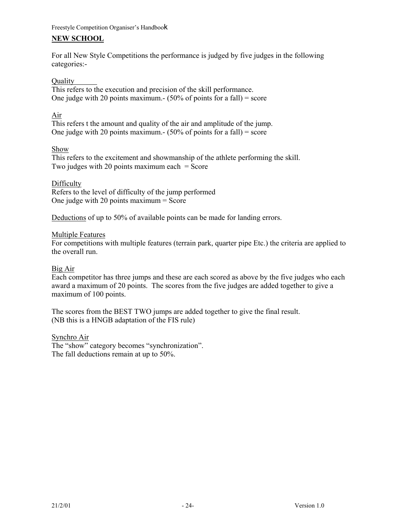# **NEW SCHOOL**

For all New Style Competitions the performance is judged by five judges in the following categories:-

#### Quality

This refers to the execution and precision of the skill performance. One judge with 20 points maximum.  $(50\% \text{ of points for a fall}) = \text{score}$ 

# Air

This refers t the amount and quality of the air and amplitude of the jump. One judge with 20 points maximum.-  $(50\% \text{ of points for a fall}) = \text{score}$ 

## Show

This refers to the excitement and showmanship of the athlete performing the skill. Two judges with 20 points maximum each  $=$  Score

## Difficulty

Refers to the level of difficulty of the jump performed One judge with 20 points maximum = Score

Deductions of up to 50% of available points can be made for landing errors.

## Multiple Features

For competitions with multiple features (terrain park, quarter pipe Etc.) the criteria are applied to the overall run.

# Big Air

Each competitor has three jumps and these are each scored as above by the five judges who each award a maximum of 20 points. The scores from the five judges are added together to give a maximum of 100 points.

The scores from the BEST TWO jumps are added together to give the final result. (NB this is a HNGB adaptation of the FIS rule)

#### Synchro Air

The "show" category becomes "synchronization". The fall deductions remain at up to 50%.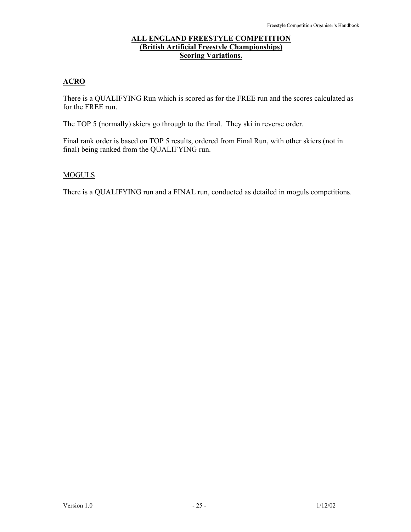# **ALL ENGLAND FREESTYLE COMPETITION (British Artificial Freestyle Championships) Scoring Variations.**

# **ACRO**

There is a QUALIFYING Run which is scored as for the FREE run and the scores calculated as for the FREE run.

The TOP 5 (normally) skiers go through to the final. They ski in reverse order.

Final rank order is based on TOP 5 results, ordered from Final Run, with other skiers (not in final) being ranked from the QUALIFYING run.

# MOGULS

There is a QUALIFYING run and a FINAL run, conducted as detailed in moguls competitions.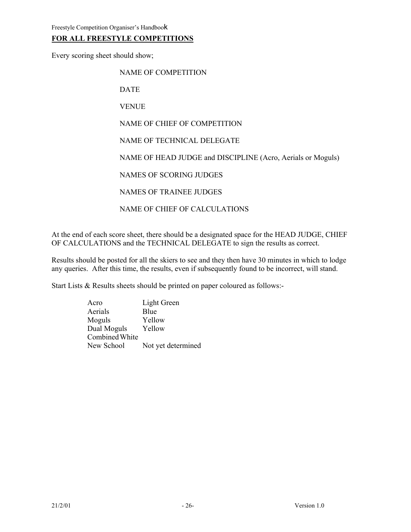# **FOR ALL FREESTYLE COMPETITIONS**

Every scoring sheet should show;

NAME OF COMPETITION

DATE

VENUE

NAME OF CHIEF OF COMPETITION

NAME OF TECHNICAL DELEGATE

NAME OF HEAD JUDGE and DISCIPLINE (Acro, Aerials or Moguls)

NAMES OF SCORING JUDGES

NAMES OF TRAINEE JUDGES

NAME OF CHIEF OF CALCULATIONS

At the end of each score sheet, there should be a designated space for the HEAD JUDGE, CHIEF OF CALCULATIONS and the TECHNICAL DELEGATE to sign the results as correct.

Results should be posted for all the skiers to see and they then have 30 minutes in which to lodge any queries. After this time, the results, even if subsequently found to be incorrect, will stand.

Start Lists & Results sheets should be printed on paper coloured as follows:-

Acro Light Green Aerials Blue Moguls Yellow Dual Moguls Yellow Combined White New School Not yet determined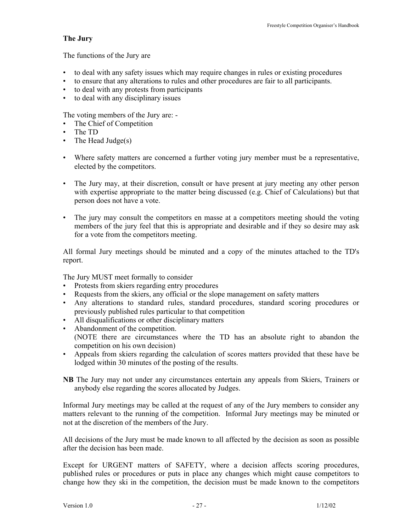# **The Jury**

The functions of the Jury are

- to deal with any safety issues which may require changes in rules or existing procedures
- to ensure that any alterations to rules and other procedures are fair to all participants.
- to deal with any protests from participants
- to deal with any disciplinary issues

The voting members of the Jury are: -

- The Chief of Competition
- The TD
- The Head Judge(s)
- Where safety matters are concerned a further voting jury member must be a representative, elected by the competitors.
- The Jury may, at their discretion, consult or have present at jury meeting any other person with expertise appropriate to the matter being discussed (e.g. Chief of Calculations) but that person does not have a vote.
- The jury may consult the competitors en masse at a competitors meeting should the voting members of the jury feel that this is appropriate and desirable and if they so desire may ask for a vote from the competitors meeting.

All formal Jury meetings should be minuted and a copy of the minutes attached to the TD's report.

The Jury MUST meet formally to consider

- Protests from skiers regarding entry procedures
- Requests from the skiers, any official or the slope management on safety matters
- Any alterations to standard rules, standard procedures, standard scoring procedures or previously published rules particular to that competition
- All disqualifications or other disciplinary matters
- Abandonment of the competition. (NOTE there are circumstances where the TD has an absolute right to abandon the competition on his own decision)
- Appeals from skiers regarding the calculation of scores matters provided that these have be lodged within 30 minutes of the posting of the results.

**NB** The Jury may not under any circumstances entertain any appeals from Skiers, Trainers or anybody else regarding the scores allocated by Judges.

Informal Jury meetings may be called at the request of any of the Jury members to consider any matters relevant to the running of the competition. Informal Jury meetings may be minuted or not at the discretion of the members of the Jury.

All decisions of the Jury must be made known to all affected by the decision as soon as possible after the decision has been made.

Except for URGENT matters of SAFETY, where a decision affects scoring procedures, published rules or procedures or puts in place any changes which might cause competitors to change how they ski in the competition, the decision must be made known to the competitors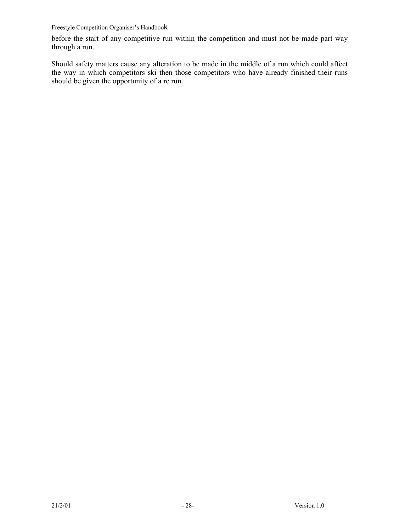before the start of any competitive run within the competition and must not be made part way through a run.

Should safety matters cause any alteration to be made in the middle of a run which could affect the way in which competitors ski then those competitors who have already finished their runs should be given the opportunity of a re run.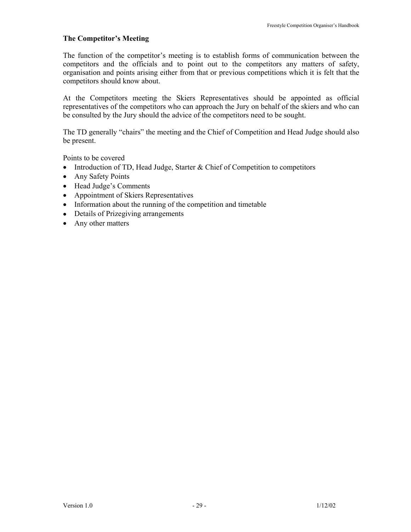# **The Competitor's Meeting**

The function of the competitor's meeting is to establish forms of communication between the competitors and the officials and to point out to the competitors any matters of safety, organisation and points arising either from that or previous competitions which it is felt that the competitors should know about.

At the Competitors meeting the Skiers Representatives should be appointed as official representatives of the competitors who can approach the Jury on behalf of the skiers and who can be consulted by the Jury should the advice of the competitors need to be sought.

The TD generally "chairs" the meeting and the Chief of Competition and Head Judge should also be present.

Points to be covered

- Introduction of TD, Head Judge, Starter & Chief of Competition to competitors
- Any Safety Points
- Head Judge's Comments
- Appointment of Skiers Representatives
- Information about the running of the competition and timetable
- Details of Prizegiving arrangements
- Any other matters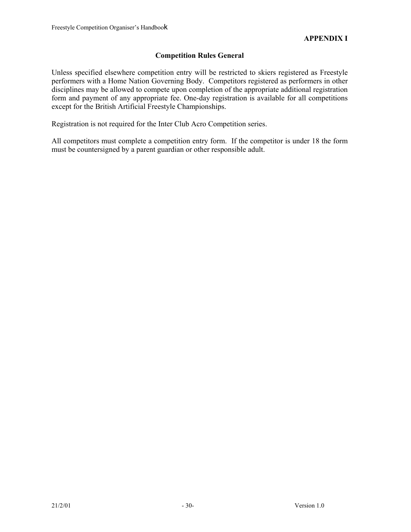# **Competition Rules General**

Unless specified elsewhere competition entry will be restricted to skiers registered as Freestyle performers with a Home Nation Governing Body. Competitors registered as performers in other disciplines may be allowed to compete upon completion of the appropriate additional registration form and payment of any appropriate fee. One-day registration is available for all competitions except for the British Artificial Freestyle Championships.

Registration is not required for the Inter Club Acro Competition series.

All competitors must complete a competition entry form. If the competitor is under 18 the form must be countersigned by a parent guardian or other responsible adult.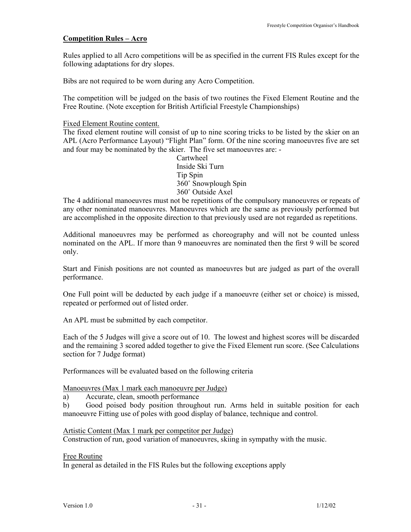# **Competition Rules – Acro**

Rules applied to all Acro competitions will be as specified in the current FIS Rules except for the following adaptations for dry slopes.

Bibs are not required to be worn during any Acro Competition.

The competition will be judged on the basis of two routines the Fixed Element Routine and the Free Routine. (Note exception for British Artificial Freestyle Championships)

Fixed Element Routine content.

The fixed element routine will consist of up to nine scoring tricks to be listed by the skier on an APL (Acro Performance Layout) "Flight Plan" form. Of the nine scoring manoeuvres five are set and four may be nominated by the skier. The five set manoeuvres are: -

> Cartwheel Inside Ski Turn Tip Spin 360˚ Snowplough Spin 360˚ Outside Axel

The 4 additional manoeuvres must not be repetitions of the compulsory manoeuvres or repeats of any other nominated manoeuvres. Manoeuvres which are the same as previously performed but are accomplished in the opposite direction to that previously used are not regarded as repetitions.

Additional manoeuvres may be performed as choreography and will not be counted unless nominated on the APL. If more than 9 manoeuvres are nominated then the first 9 will be scored only.

Start and Finish positions are not counted as manoeuvres but are judged as part of the overall performance.

One Full point will be deducted by each judge if a manoeuvre (either set or choice) is missed, repeated or performed out of listed order.

An APL must be submitted by each competitor.

Each of the 5 Judges will give a score out of 10. The lowest and highest scores will be discarded and the remaining 3 scored added together to give the Fixed Element run score. (See Calculations section for 7 Judge format)

Performances will be evaluated based on the following criteria

#### Manoeuvres (Max 1 mark each manoeuvre per Judge)

a) Accurate, clean, smooth performance

b) Good poised body position throughout run. Arms held in suitable position for each manoeuvre Fitting use of poles with good display of balance, technique and control.

Artistic Content (Max 1 mark per competitor per Judge)

Construction of run, good variation of manoeuvres, skiing in sympathy with the music.

Free Routine

In general as detailed in the FIS Rules but the following exceptions apply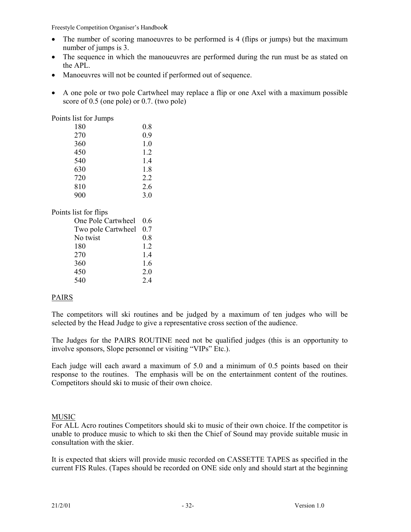- The number of scoring manoeuvres to be performed is 4 (flips or jumps) but the maximum number of jumps is 3.
- The sequence in which the manoueuvres are performed during the run must be as stated on the APL.
- Manoeuvres will not be counted if performed out of sequence.
- A one pole or two pole Cartwheel may replace a flip or one Axel with a maximum possible score of 0.5 (one pole) or 0.7. (two pole)

Points list for Jumps

| 180 | 0.8 |
|-----|-----|
| 270 | 0.9 |
| 360 | 1.0 |
| 450 | 1.2 |
| 540 | 1.4 |
| 630 | 1.8 |
| 720 | 2.2 |
| 810 | 2.6 |
| 900 | 3.0 |

# Points list for flips

| One Pole Cartwheel | 06  |
|--------------------|-----|
| Two pole Cartwheel | 0.7 |
| No twist           | 0.8 |
| 180                | 1.2 |
| 270                | 14  |
| 360                | 1.6 |
| 450                | 2.0 |
| 540                | 24  |

# PAIRS

The competitors will ski routines and be judged by a maximum of ten judges who will be selected by the Head Judge to give a representative cross section of the audience.

The Judges for the PAIRS ROUTINE need not be qualified judges (this is an opportunity to involve sponsors, Slope personnel or visiting "VIPs" Etc.).

Each judge will each award a maximum of 5.0 and a minimum of 0.5 points based on their response to the routines. The emphasis will be on the entertainment content of the routines. Competitors should ski to music of their own choice.

# MUSIC

For ALL Acro routines Competitors should ski to music of their own choice. If the competitor is unable to produce music to which to ski then the Chief of Sound may provide suitable music in consultation with the skier.

It is expected that skiers will provide music recorded on CASSETTE TAPES as specified in the current FIS Rules. (Tapes should be recorded on ONE side only and should start at the beginning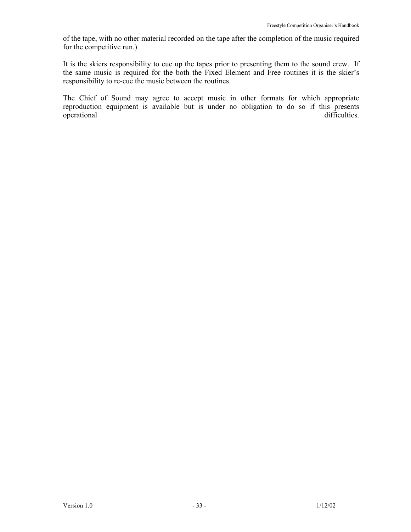of the tape, with no other material recorded on the tape after the completion of the music required for the competitive run.)

It is the skiers responsibility to cue up the tapes prior to presenting them to the sound crew. If the same music is required for the both the Fixed Element and Free routines it is the skier's responsibility to re-cue the music between the routines.

The Chief of Sound may agree to accept music in other formats for which appropriate reproduction equipment is available but is under no obligation to do so if this presents operational difficulties.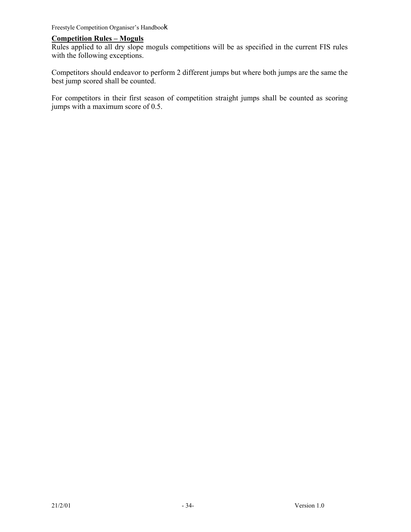# **Competition Rules – Moguls**

Rules applied to all dry slope moguls competitions will be as specified in the current FIS rules with the following exceptions.

Competitors should endeavor to perform 2 different jumps but where both jumps are the same the best jump scored shall be counted.

For competitors in their first season of competition straight jumps shall be counted as scoring jumps with a maximum score of 0.5.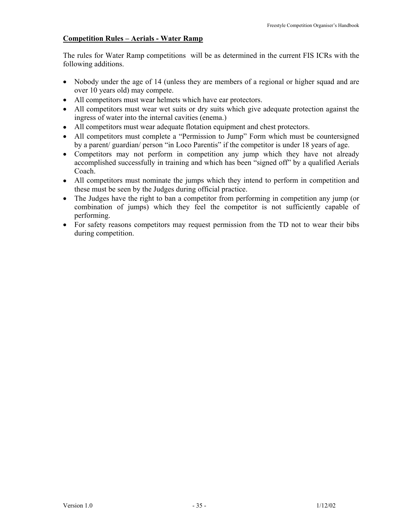# **Competition Rules – Aerials - Water Ramp**

The rules for Water Ramp competitions will be as determined in the current FIS ICRs with the following additions.

- Nobody under the age of 14 (unless they are members of a regional or higher squad and are over 10 years old) may compete.
- All competitors must wear helmets which have ear protectors.
- All competitors must wear wet suits or dry suits which give adequate protection against the ingress of water into the internal cavities (enema.)
- All competitors must wear adequate flotation equipment and chest protectors.
- All competitors must complete a "Permission to Jump" Form which must be countersigned by a parent/ guardian/ person "in Loco Parentis" if the competitor is under 18 years of age.
- Competitors may not perform in competition any jump which they have not already accomplished successfully in training and which has been "signed off" by a qualified Aerials Coach.
- All competitors must nominate the jumps which they intend to perform in competition and these must be seen by the Judges during official practice.
- The Judges have the right to ban a competitor from performing in competition any jump (or combination of jumps) which they feel the competitor is not sufficiently capable of performing.
- For safety reasons competitors may request permission from the TD not to wear their bibs during competition.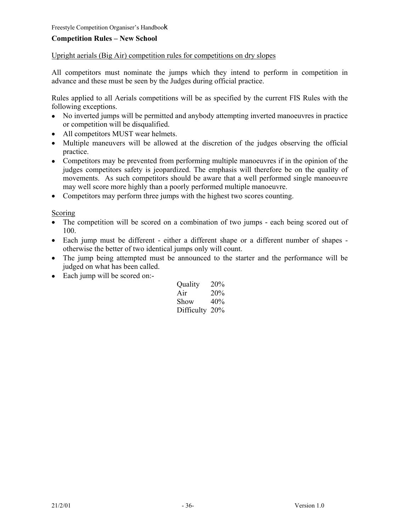# **Competition Rules – New School**

## Upright aerials (Big Air) competition rules for competitions on dry slopes

All competitors must nominate the jumps which they intend to perform in competition in advance and these must be seen by the Judges during official practice.

Rules applied to all Aerials competitions will be as specified by the current FIS Rules with the following exceptions.

- No inverted jumps will be permitted and anybody attempting inverted manoeuvres in practice or competition will be disqualified.
- All competitors MUST wear helmets.
- Multiple maneuvers will be allowed at the discretion of the judges observing the official practice.
- Competitors may be prevented from performing multiple manoeuvres if in the opinion of the judges competitors safety is jeopardized. The emphasis will therefore be on the quality of movements. As such competitors should be aware that a well performed single manoeuvre may well score more highly than a poorly performed multiple manoeuvre.
- Competitors may perform three jumps with the highest two scores counting.

#### Scoring

- The competition will be scored on a combination of two jumps each being scored out of 100.
- Each jump must be different either a different shape or a different number of shapes otherwise the better of two identical jumps only will count.
- The jump being attempted must be announced to the starter and the performance will be judged on what has been called.
- Each jump will be scored on:-

| Quality        | 20% |
|----------------|-----|
| Air            | 20% |
| Show           | 40% |
| Difficulty 20% |     |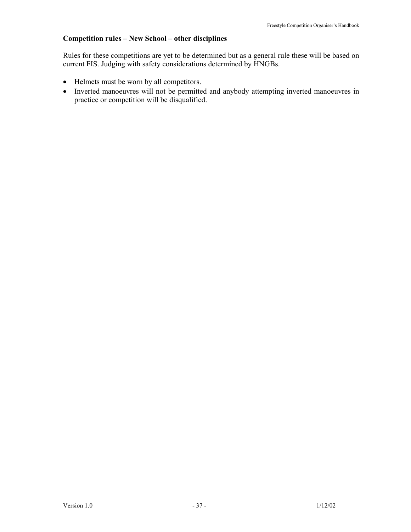# **Competition rules – New School – other disciplines**

Rules for these competitions are yet to be determined but as a general rule these will be based on current FIS. Judging with safety considerations determined by HNGBs.

- Helmets must be worn by all competitors.
- Inverted manoeuvres will not be permitted and anybody attempting inverted manoeuvres in practice or competition will be disqualified.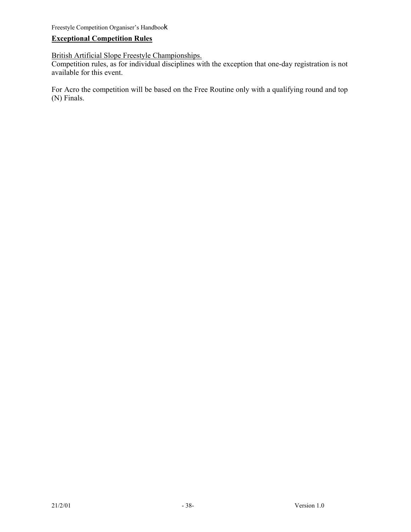# **Exceptional Competition Rules**

British Artificial Slope Freestyle Championships.

Competition rules, as for individual disciplines with the exception that one-day registration is not available for this event.

For Acro the competition will be based on the Free Routine only with a qualifying round and top (N) Finals.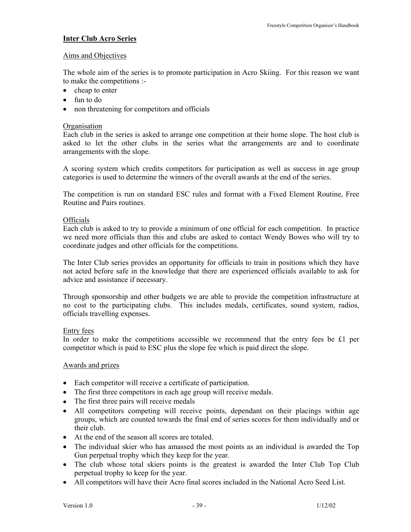# **Inter Club Acro Series**

# Aims and Objectives

The whole aim of the series is to promote participation in Acro Skiing. For this reason we want to make the competitions :-

- cheap to enter
- fun to do
- non threatening for competitors and officials

#### **Organisation**

Each club in the series is asked to arrange one competition at their home slope. The host club is asked to let the other clubs in the series what the arrangements are and to coordinate arrangements with the slope.

A scoring system which credits competitors for participation as well as success in age group categories is used to determine the winners of the overall awards at the end of the series.

The competition is run on standard ESC rules and format with a Fixed Element Routine, Free Routine and Pairs routines.

## **Officials**

Each club is asked to try to provide a minimum of one official for each competition. In practice we need more officials than this and clubs are asked to contact Wendy Bowes who will try to coordinate judges and other officials for the competitions.

The Inter Club series provides an opportunity for officials to train in positions which they have not acted before safe in the knowledge that there are experienced officials available to ask for advice and assistance if necessary.

Through sponsorship and other budgets we are able to provide the competition infrastructure at no cost to the participating clubs. This includes medals, certificates, sound system, radios, officials travelling expenses.

#### Entry fees

In order to make the competitions accessible we recommend that the entry fees be £1 per competitor which is paid to ESC plus the slope fee which is paid direct the slope.

#### Awards and prizes

- Each competitor will receive a certificate of participation.
- The first three competitors in each age group will receive medals.
- The first three pairs will receive medals
- All competitors competing will receive points, dependant on their placings within age groups, which are counted towards the final end of series scores for them individually and or their club.
- At the end of the season all scores are totaled.
- The individual skier who has amassed the most points as an individual is awarded the Top Gun perpetual trophy which they keep for the year.
- The club whose total skiers points is the greatest is awarded the Inter Club Top Club perpetual trophy to keep for the year.
- All competitors will have their Acro final scores included in the National Acro Seed List.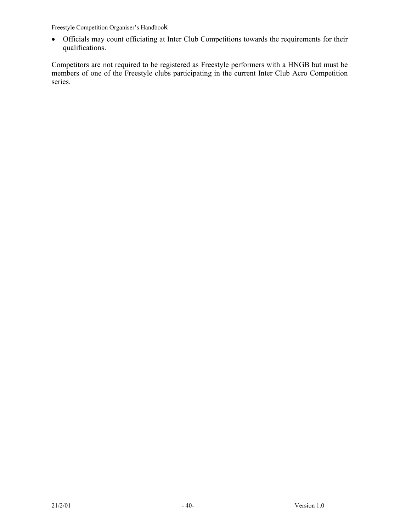• Officials may count officiating at Inter Club Competitions towards the requirements for their qualifications.

Competitors are not required to be registered as Freestyle performers with a HNGB but must be members of one of the Freestyle clubs participating in the current Inter Club Acro Competition series.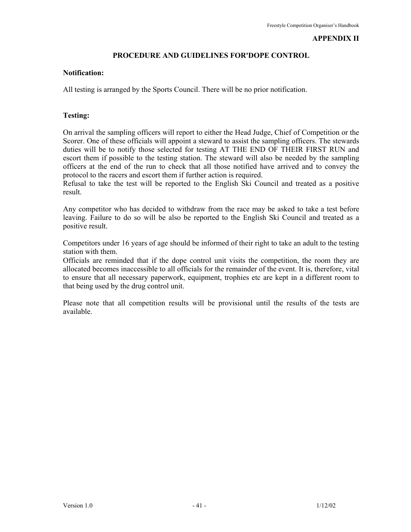#### **APPENDIX II**

## **PROCEDURE AND GUIDELINES FOR'DOPE CONTROL**

#### **Notification:**

All testing is arranged by the Sports Council. There will be no prior notification.

#### **Testing:**

On arrival the sampling officers will report to either the Head Judge, Chief of Competition or the Scorer. One of these officials will appoint a steward to assist the sampling officers. The stewards duties will be to notify those selected for testing AT THE END OF THEIR FIRST RUN and escort them if possible to the testing station. The steward will also be needed by the sampling officers at the end of the run to check that all those notified have arrived and to convey the protocol to the racers and escort them if further action is required.

Refusal to take the test will be reported to the English Ski Council and treated as a positive result.

Any competitor who has decided to withdraw from the race may be asked to take a test before leaving. Failure to do so will be also be reported to the English Ski Council and treated as a positive result.

Competitors under 16 years of age should be informed of their right to take an adult to the testing station with them.

Officials are reminded that if the dope control unit visits the competition, the room they are allocated becomes inaccessible to all officials for the remainder of the event. It is, therefore, vital to ensure that all necessary paperwork, equipment, trophies etc are kept in a different room to that being used by the drug control unit.

Please note that all competition results will be provisional until the results of the tests are available.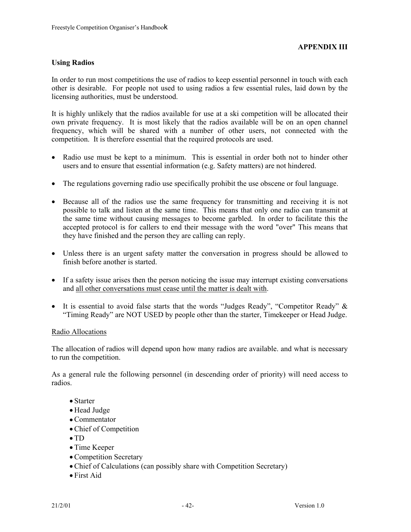# **Using Radios**

In order to run most competitions the use of radios to keep essential personnel in touch with each other is desirable. For people not used to using radios a few essential rules, laid down by the licensing authorities, must be understood.

It is highly unlikely that the radios available for use at a ski competition will be allocated their own private frequency. It is most likely that the radios available will be on an open channel frequency, which will be shared with a number of other users, not connected with the competition. It is therefore essential that the required protocols are used.

- Radio use must be kept to a minimum. This is essential in order both not to hinder other users and to ensure that essential information (e.g. Safety matters) are not hindered.
- The regulations governing radio use specifically prohibit the use obscene or foul language.
- Because all of the radios use the same frequency for transmitting and receiving it is not possible to talk and listen at the same time. This means that only one radio can transmit at the same time without causing messages to become garbled. In order to facilitate this the accepted protocol is for callers to end their message with the word "over" This means that they have finished and the person they are calling can reply.
- Unless there is an urgent safety matter the conversation in progress should be allowed to finish before another is started.
- If a safety issue arises then the person noticing the issue may interrupt existing conversations and all other conversations must cease until the matter is dealt with.
- It is essential to avoid false starts that the words "Judges Ready", "Competitor Ready"  $\&$ "Timing Ready" are NOT USED by people other than the starter, Timekeeper or Head Judge.

#### Radio Allocations

The allocation of radios will depend upon how many radios are available. and what is necessary to run the competition.

As a general rule the following personnel (in descending order of priority) will need access to radios.

- Starter
- Head Judge
- Commentator
- Chief of Competition
- TD
- Time Keeper
- Competition Secretary
- Chief of Calculations (can possibly share with Competition Secretary)
- First Aid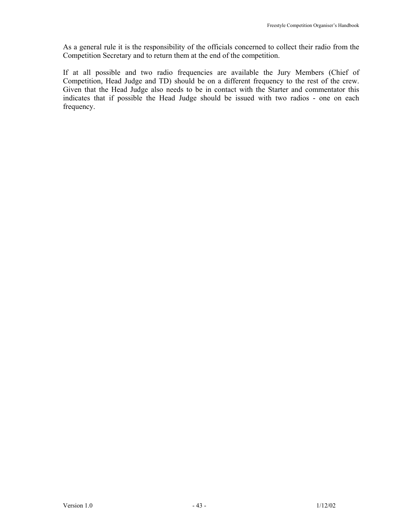As a general rule it is the responsibility of the officials concerned to collect their radio from the Competition Secretary and to return them at the end of the competition.

If at all possible and two radio frequencies are available the Jury Members (Chief of Competition, Head Judge and TD) should be on a different frequency to the rest of the crew. Given that the Head Judge also needs to be in contact with the Starter and commentator this indicates that if possible the Head Judge should be issued with two radios - one on each frequency.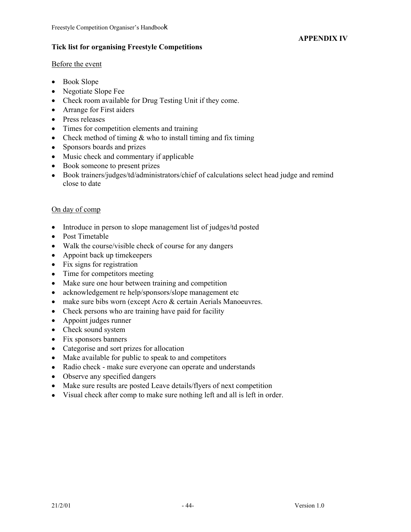# **APPENDIX IV**

# **Tick list for organising Freestyle Competitions**

## Before the event

- Book Slope
- Negotiate Slope Fee
- Check room available for Drug Testing Unit if they come.
- Arrange for First aiders
- Press releases
- Times for competition elements and training
- Check method of timing  $&$  who to install timing and fix timing
- Sponsors boards and prizes
- Music check and commentary if applicable
- Book someone to present prizes
- Book trainers/judges/td/administrators/chief of calculations select head judge and remind close to date

# On day of comp

- Introduce in person to slope management list of judges/td posted
- Post Timetable
- Walk the course/visible check of course for any dangers
- Appoint back up timekeepers
- Fix signs for registration
- Time for competitors meeting
- Make sure one hour between training and competition
- acknowledgement re help/sponsors/slope management etc
- make sure bibs worn (except Acro & certain Aerials Manoeuvres.
- Check persons who are training have paid for facility
- Appoint judges runner
- Check sound system
- Fix sponsors banners
- Categorise and sort prizes for allocation
- Make available for public to speak to and competitors
- Radio check make sure everyone can operate and understands
- Observe any specified dangers
- Make sure results are posted Leave details/flyers of next competition
- Visual check after comp to make sure nothing left and all is left in order.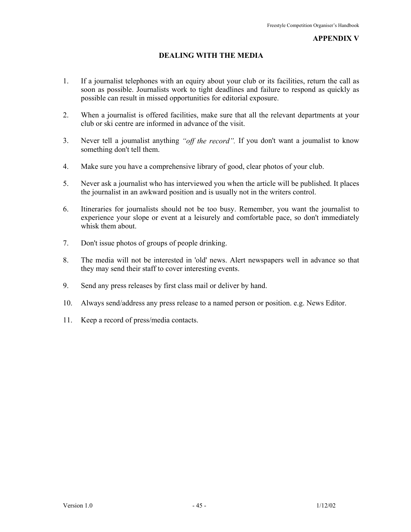#### **APPENDIX V**

# **DEALING WITH THE MEDIA**

- 1. If a journalist telephones with an equiry about your club or its facilities, return the call as soon as possible. Journalists work to tight deadlines and failure to respond as quickly as possible can result in missed opportunities for editorial exposure.
- 2. When a journalist is offered facilities, make sure that all the relevant departments at your club or ski centre are informed in advance of the visit.
- 3. Never tell a joumalist anything *"off the record".* If you don't want a joumalist to know something don't tell them.
- 4. Make sure you have a comprehensive library of good, clear photos of your club.
- 5. Never ask a journalist who has interviewed you when the article will be published. It places the journalist in an awkward position and is usually not in the writers control.
- 6. Itineraries for journalists should not be too busy. Remember, you want the journalist to experience your slope or event at a leisurely and comfortable pace, so don't immediately whisk them about.
- 7. Don't issue photos of groups of people drinking.
- 8. The media will not be interested in 'old' news. Alert newspapers well in advance so that they may send their staff to cover interesting events.
- 9. Send any press releases by first class mail or deliver by hand.
- 10. Always send/address any press release to a named person or position. e.g. News Editor.
- 11. Keep a record of press/media contacts.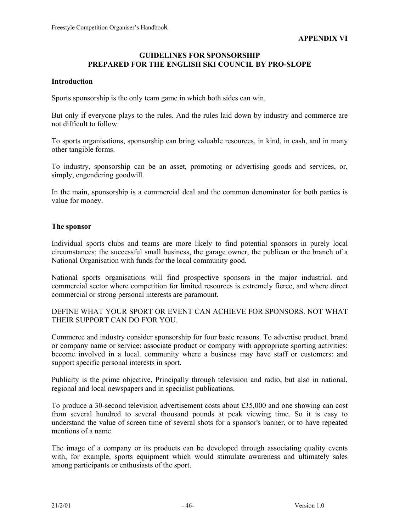#### **GUIDELINES FOR SPONSORSHIP PREPARED FOR THE ENGLISH SKI COUNCIL BY PRO-SLOPE**

# **Introduction**

Sports sponsorship is the only team game in which both sides can win.

But only if everyone plays to the rules. And the rules laid down by industry and commerce are not difficult to follow.

To sports organisations, sponsorship can bring valuable resources, in kind, in cash, and in many other tangible forms.

To industry, sponsorship can be an asset, promoting or advertising goods and services, or, simply, engendering goodwill.

In the main, sponsorship is a commercial deal and the common denominator for both parties is value for money.

## **The sponsor**

Individual sports clubs and teams are more likely to find potential sponsors in purely local circumstances; the successful small business, the garage owner, the publican or the branch of a National Organisation with funds for the local community good.

National sports organisations will find prospective sponsors in the major industrial. and commercial sector where competition for limited resources is extremely fierce, and where direct commercial or strong personal interests are paramount.

DEFINE WHAT YOUR SPORT OR EVENT CAN ACHIEVE FOR SPONSORS. NOT WHAT THEIR SUPPORT CAN DO F'OR YOU.

Commerce and industry consider sponsorship for four basic reasons. To advertise product. brand or company name or service: associate product or company with appropriate sporting activities: become involved in a local. community where a business may have staff or customers: and support specific personal interests in sport.

Publicity is the prime objective, Principally through television and radio, but also in national, regional and local newspapers and in specialist publications.

To produce a 30-second television advertisement costs about £35,000 and one showing can cost from several hundred to several thousand pounds at peak viewing time. So it is easy to understand the value of screen time of several shots for a sponsor's banner, or to have repeated mentions of a name.

The image of a company or its products can be developed through associating quality events with, for example, sports equipment which would stimulate awareness and ultimately sales among participants or enthusiasts of the sport.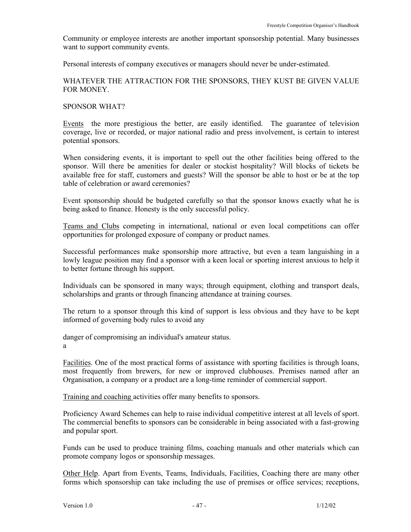Community or employee interests are another important sponsorship potential. Many businesses want to support community events.

Personal interests of company executives or managers should never be under-estimated.

## WHATEVER THE ATTRACTION FOR THE SPONSORS, THEY KUST BE GIVEN VALUE FOR MONEY.

#### SPONSOR WHAT?

Events the more prestigious the better, are easily identified. The guarantee of television coverage, live or recorded, or major national radio and press involvement, is certain to interest potential sponsors.

When considering events, it is important to spell out the other facilities being offered to the sponsor. Will there be amenities for dealer or stockist hospitality? Will blocks of tickets be available free for staff, customers and guests? Will the sponsor be able to host or be at the top table of celebration or award ceremonies?

Event sponsorship should be budgeted carefully so that the sponsor knows exactly what he is being asked to finance. Honesty is the only successful policy.

Teams and Clubs competing in international, national or even local competitions can offer opportunities for prolonged exposure of company or product names.

Successful performances make sponsorship more attractive, but even a team languishing in a lowly league position may find a sponsor with a keen local or sporting interest anxious to help it to better fortune through his support.

Individuals can be sponsored in many ways; through equipment, clothing and transport deals, scholarships and grants or through financing attendance at training courses.

The return to a sponsor through this kind of support is less obvious and they have to be kept informed of governing body rules to avoid any

danger of compromising an individual's amateur status. a

Facilities. One of the most practical forms of assistance with sporting facilities is through loans, most frequently from brewers, for new or improved clubhouses. Premises named after an Organisation, a company or a product are a long-time reminder of commercial support.

Training and coaching activities offer many benefits to sponsors.

Proficiency Award Schemes can help to raise individual competitive interest at all levels of sport. The commercial benefits to sponsors can be considerable in being associated with a fast-growing and popular sport.

Funds can be used to produce training films, coaching manuals and other materials which can promote company logos or sponsorship messages.

Other Help. Apart from Events, Teams, Individuals, Facilities, Coaching there are many other forms which sponsorship can take including the use of premises or office services; receptions,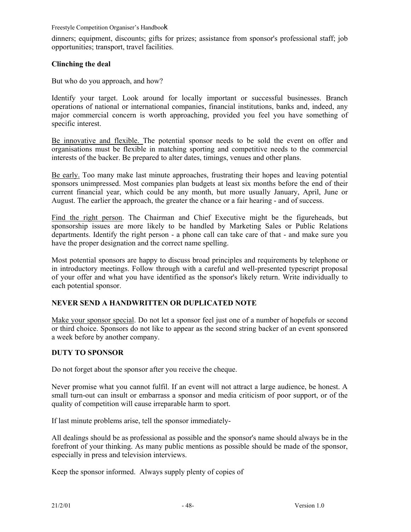dinners; equipment, discounts; gifts for prizes; assistance from sponsor's professional staff; job opportunities; transport, travel facilities.

# **Clinching the deal**

But who do you approach, and how?

Identify your target. Look around for locally important or successful businesses. Branch operations of national or international companies, financial institutions, banks and, indeed, any major commercial concern is worth approaching, provided you feel you have something of specific interest.

Be innovative and flexible. The potential sponsor needs to be sold the event on offer and organisations must be flexible in matching sporting and competitive needs to the commercial interests of the backer. Be prepared to alter dates, timings, venues and other plans.

Be early. Too many make last minute approaches, frustrating their hopes and leaving potential sponsors unimpressed. Most companies plan budgets at least six months before the end of their current financial year, which could be any month, but more usually January, April, June or August. The earlier the approach, the greater the chance or a fair hearing - and of success.

Find the right person. The Chairman and Chief Executive might be the figureheads, but sponsorship issues are more likely to be handled by Marketing Sales or Public Relations departments. Identify the right person - a phone call can take care of that - and make sure you have the proper designation and the correct name spelling.

Most potential sponsors are happy to discuss broad principles and requirements by telephone or in introductory meetings. Follow through with a careful and well-presented typescript proposal of your offer and what you have identified as the sponsor's likely return. Write individually to each potential sponsor.

# **NEVER SEND A HANDWRITTEN OR DUPLICATED NOTE**

Make your sponsor special. Do not let a sponsor feel just one of a number of hopefuls or second or third choice. Sponsors do not like to appear as the second string backer of an event sponsored a week before by another company.

# **DUTY TO SPONSOR**

Do not forget about the sponsor after you receive the cheque.

Never promise what you cannot fulfil. If an event will not attract a large audience, be honest. A small turn-out can insult or embarrass a sponsor and media criticism of poor support, or of the quality of competition will cause irreparable harm to sport.

If last minute problems arise, tell the sponsor immediately-

All dealings should be as professional as possible and the sponsor's name should always be in the forefront of your thinking. As many public mentions as possible should be made of the sponsor, especially in press and television interviews.

Keep the sponsor informed. Always supply plenty of copies of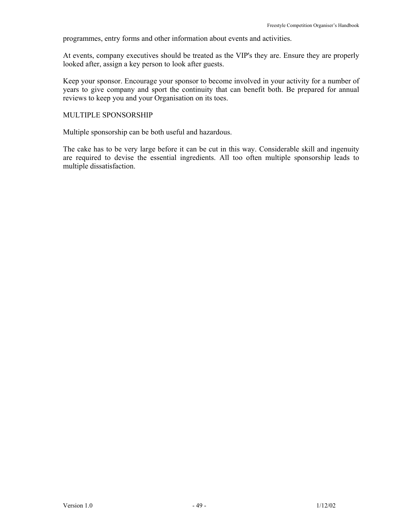programmes, entry forms and other information about events and activities.

At events, company executives should be treated as the VIP's they are. Ensure they are properly looked after, assign a key person to look after guests.

Keep your sponsor. Encourage your sponsor to become involved in your activity for a number of years to give company and sport the continuity that can benefit both. Be prepared for annual reviews to keep you and your Organisation on its toes.

#### MULTIPLE SPONSORSHIP

Multiple sponsorship can be both useful and hazardous.

The cake has to be very large before it can be cut in this way. Considerable skill and ingenuity are required to devise the essential ingredients. All too often multiple sponsorship leads to multiple dissatisfaction.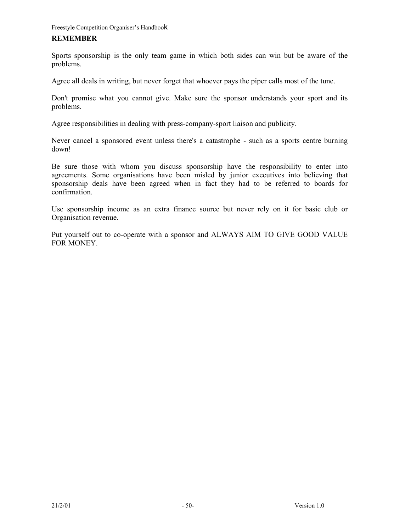#### **REMEMBER**

Sports sponsorship is the only team game in which both sides can win but be aware of the problems.

Agree all deals in writing, but never forget that whoever pays the piper calls most of the tune.

Don't promise what you cannot give. Make sure the sponsor understands your sport and its problems.

Agree responsibilities in dealing with press-company-sport liaison and publicity.

Never cancel a sponsored event unless there's a catastrophe - such as a sports centre burning down!

Be sure those with whom you discuss sponsorship have the responsibility to enter into agreements. Some organisations have been misled by junior executives into believing that sponsorship deals have been agreed when in fact they had to be referred to boards for confirmation.

Use sponsorship income as an extra finance source but never rely on it for basic club or Organisation revenue.

Put yourself out to co-operate with a sponsor and ALWAYS AIM TO GIVE GOOD VALUE FOR MONEY.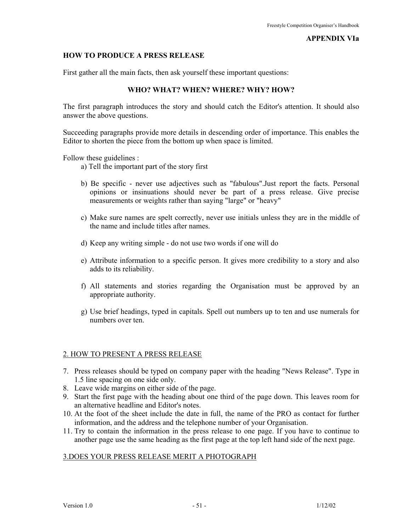#### **APPENDIX VIa**

#### **HOW TO PRODUCE A PRESS RELEASE**

First gather all the main facts, then ask yourself these important questions:

#### **WHO? WHAT? WHEN? WHERE? WHY? HOW?**

The first paragraph introduces the story and should catch the Editor's attention. It should also answer the above questions.

Succeeding paragraphs provide more details in descending order of importance. This enables the Editor to shorten the piece from the bottom up when space is limited.

Follow these guidelines :

- a) Tell the important part of the story first
- b) Be specific never use adjectives such as "fabulous".Just report the facts. Personal opinions or insinuations should never be part of a press release. Give precise measurements or weights rather than saying "large" or "heavy"
- c) Make sure names are spelt correctly, never use initials unless they are in the middle of the name and include titles after names.
- d) Keep any writing simple do not use two words if one will do
- e) Attribute information to a specific person. It gives more credibility to a story and also adds to its reliability.
- f) All statements and stories regarding the Organisation must be approved by an appropriate authority.
- g) Use brief headings, typed in capitals. Spell out numbers up to ten and use numerals for numbers over ten.

#### 2. HOW TO PRESENT A PRESS RELEASE

- 7. Press releases should be typed on company paper with the heading "News Release". Type in 1.5 line spacing on one side only.
- 8. Leave wide margins on either side of the page.
- 9. Start the first page with the heading about one third of the page down. This leaves room for an alternative headline and Editor's notes.
- 10. At the foot of the sheet include the date in full, the name of the PRO as contact for further information, and the address and the telephone number of your Organisation.
- 11. Try to contain the information in the press release to one page. If you have to continue to another page use the same heading as the first page at the top left hand side of the next page.

#### 3.DOES YOUR PRESS RELEASE MERIT A PHOTOGRAPH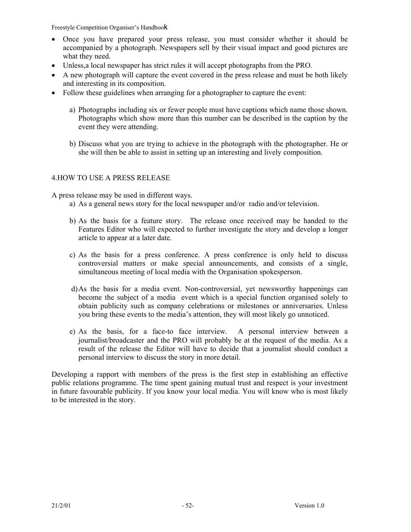- Once you have prepared your press release, you must consider whether it should be accompanied by a photograph. Newspapers sell by their visual impact and good pictures are what they need.
- Unless,a local newspaper has strict rules it will accept photographs from the PRO.
- A new photograph will capture the event covered in the press release and must be both likely and interesting in its composition.
- Follow these guidelines when arranging for a photographer to capture the event:
	- a) Photographs including six or fewer people must have captions which name those shown. Photographs which show more than this number can be described in the caption by the event they were attending.
	- b) Discuss what you are trying to achieve in the photograph with the photographer. He or she will then be able to assist in setting up an interesting and lively composition.

# 4.HOW TO USE A PRESS RELEASE

A press release may be used in different ways.

- a) As a general news story for the local newspaper and/or radio and/or television.
- b) As the basis for a feature story. The release once received may be handed to the Features Editor who will expected to further investigate the story and develop a longer article to appear at a later date.
- c) As the basis for a press conference. A press conference is only held to discuss controversial matters or make special announcements, and consists of a single, simultaneous meeting of local media with the Organisation spokesperson.
- d) As the basis for a media event. Non-controversial, yet newsworthy happenings can become the subject of a media event which is a special function organised solely to obtain publicity such as company celebrations or milestones or anniversaries. Unless you bring these events to the media's attention, they will most likely go unnoticed.
- e) As the basis, for a face-to face interview. A personal interview between a journalist/broadcaster and the PRO will probably be at the request of the media. As a result of the release the Editor will have to decide that a journalist should conduct a personal interview to discuss the story in more detail.

Developing a rapport with members of the press is the first step in establishing an effective public relations programme. The time spent gaining mutual trust and respect is your investment in future favourable publicity. If you know your local media. You will know who is most likely to be interested in the story.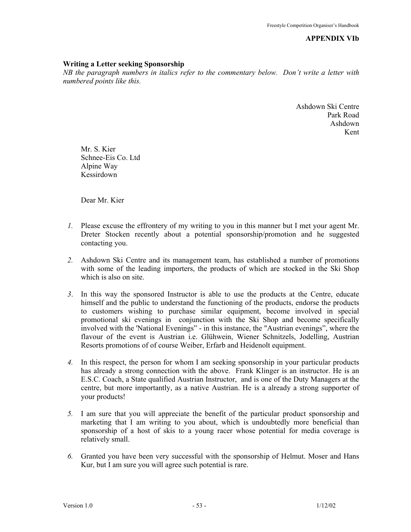**APPENDIX VIb** 

#### **Writing a Letter seeking Sponsorship**

*NB the paragraph numbers in italics refer to the commentary below. Don't write a letter with numbered points like this.* 

> Ashdown Ski Centre Park Road Ashdown Kent

Mr. S. Kier Schnee-Eis Co. Ltd Alpine Way Kessirdown

Dear Mr. Kier

- *1.* Please excuse the effrontery of my writing to you in this manner but I met your agent Mr. Dreter Stocken recently about a potential sponsorship/promotion and he suggested contacting you.
- *2.* Ashdown Ski Centre and its management team, has established a number of promotions with some of the leading importers, the products of which are stocked in the Ski Shop which is also on site.
- *3*. In this way the sponsored Instructor is able to use the products at the Centre, educate himself and the public to understand the functioning of the products, endorse the products to customers wishing to purchase similar equipment, become involved in special promotional ski evenings in conjunction with the Ski Shop and become specifically involved with the 'National Evenings" - in this instance, the "Austrian evenings", where the flavour of the event is Austrian i.e. Glühwein, Wiener Schnitzels, Jodelling, Austrian Resorts promotions of of course Weiber, Erfarb and Heidenolt equipment.
- *4.* In this respect, the person for whom I am seeking sponsorship in your particular products has already a strong connection with the above. Frank Klinger is an instructor. He is an E.S.C. Coach, a State qualified Austrian Instructor, and is one of the Duty Managers at the centre, but more importantly, as a native Austrian. He is a already a strong supporter of your products!
- *5.* I am sure that you will appreciate the benefit of the particular product sponsorship and marketing that I am writing to you about, which is undoubtedly more beneficial than sponsorship of a host of skis to a young racer whose potential for media coverage is relatively small.
- *6.* Granted you have been very successful with the sponsorship of Helmut. Moser and Hans Kur, but I am sure you will agree such potential is rare.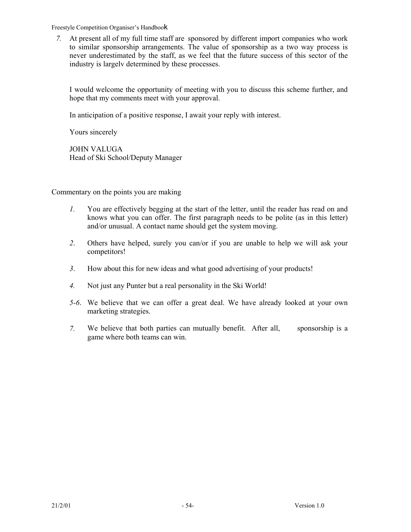*7.* At present all of my full time staff are sponsored by different import companies who work to similar sponsorship arrangements. The value of sponsorship as a two way process is never underestimated by the staff, as we feel that the future success of this sector of the industry is largelv determined by these processes.

I would welcome the opportunity of meeting with you to discuss this scheme further, and hope that my comments meet with your approval.

In anticipation of a positive response, I await your reply with interest.

Yours sincerely

JOHN VALUGA Head of Ski School/Deputy Manager

Commentary on the points you are making

- *1.* You are effectively begging at the start of the letter, until the reader has read on and knows what you can offer. The first paragraph needs to be polite (as in this letter) and/or unusual. A contact name should get the system moving.
- *2*. Others have helped, surely you can/or if you are unable to help we will ask your competitors!
- *3*. How about this for new ideas and what good advertising of your products!
- *4.* Not just any Punter but a real personality in the Ski World!
- *5-6*. We believe that we can offer a great deal. We have already looked at your own marketing strategies.
- *7.* We believe that both parties can mutually benefit. After all, sponsorship is a game where both teams can win.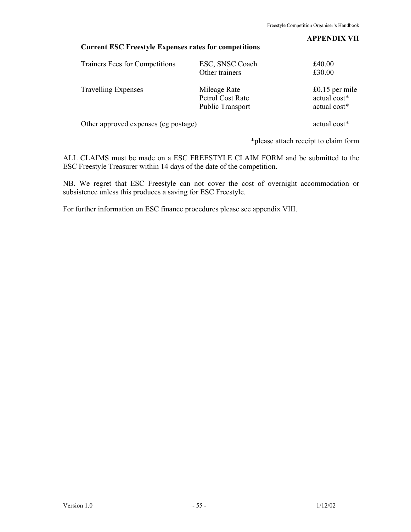#### **APPENDIX VII**

# **Current ESC Freestyle Expenses rates for competitions**

| Trainers Fees for Competitions       | ESC, SNSC Coach<br>Other trainers                           | £40.00<br>£30.00                                 |
|--------------------------------------|-------------------------------------------------------------|--------------------------------------------------|
| <b>Travelling Expenses</b>           | Mileage Rate<br>Petrol Cost Rate<br><b>Public Transport</b> | $£0.15$ per mile<br>actual cost*<br>actual cost* |
| Other approved expenses (eg postage) |                                                             | actual cost*                                     |

\*please attach receipt to claim form

ALL CLAIMS must be made on a ESC FREESTYLE CLAIM FORM and be submitted to the ESC Freestyle Treasurer within 14 days of the date of the competition.

NB. We regret that ESC Freestyle can not cover the cost of overnight accommodation or subsistence unless this produces a saving for ESC Freestyle.

For further information on ESC finance procedures please see appendix VIII.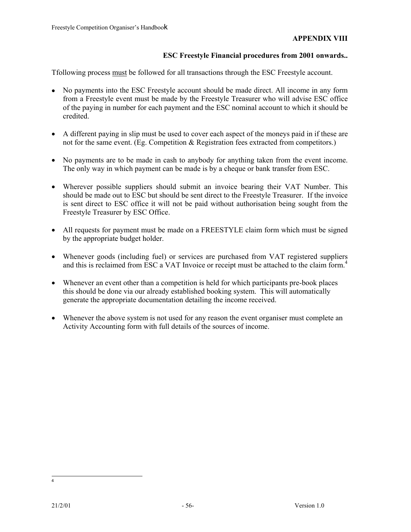# **ESC Freestyle Financial procedures from 2001 onwards..**

Tfollowing process must be followed for all transactions through the ESC Freestyle account.

- No payments into the ESC Freestyle account should be made direct. All income in any form from a Freestyle event must be made by the Freestyle Treasurer who will advise ESC office of the paying in number for each payment and the ESC nominal account to which it should be credited.
- A different paying in slip must be used to cover each aspect of the moneys paid in if these are not for the same event. (Eg. Competition  $\&$  Registration fees extracted from competitors.)
- No payments are to be made in cash to anybody for anything taken from the event income. The only way in which payment can be made is by a cheque or bank transfer from ESC.
- Wherever possible suppliers should submit an invoice bearing their VAT Number. This should be made out to ESC but should be sent direct to the Freestyle Treasurer. If the invoice is sent direct to ESC office it will not be paid without authorisation being sought from the Freestyle Treasurer by ESC Office.
- All requests for payment must be made on a FREESTYLE claim form which must be signed by the appropriate budget holder.
- Whenever goods (including fuel) or services are purchased from VAT registered suppliers and this is reclaimed from ESC a VAT Invoice or receipt must be attached to the claim form.<sup>4</sup>
- Whenever an event other than a competition is held for which participants pre-book places this should be done via our already established booking system. This will automatically generate the appropriate documentation detailing the income received.
- Whenever the above system is not used for any reason the event organiser must complete an Activity Accounting form with full details of the sources of income.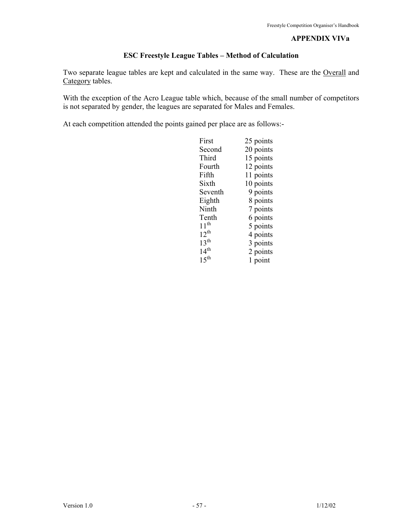#### **APPENDIX VIVa**

# **ESC Freestyle League Tables – Method of Calculation**

Two separate league tables are kept and calculated in the same way. These are the Overall and Category tables.

With the exception of the Acro League table which, because of the small number of competitors is not separated by gender, the leagues are separated for Males and Females.

At each competition attended the points gained per place are as follows:-

| First             | 25 points |
|-------------------|-----------|
| Second            | 20 points |
| Third             | 15 points |
| Fourth            | 12 points |
| Fifth             | 11 points |
| Sixth             | 10 points |
| Seventh           | 9 points  |
| Eighth            | 8 points  |
| Ninth             | 7 points  |
| Tenth             | 6 points  |
| $11^{th}$         | 5 points  |
| $12^{th}$         | 4 points  |
| 13 <sup>th</sup>  | 3 points  |
| 14 <sup>th</sup>  | 2 points  |
| $1.5^{\text{th}}$ | 1 point   |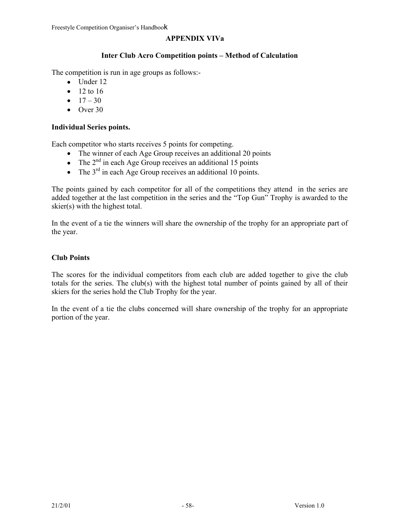# **APPENDIX VIVa**

# **Inter Club Acro Competition points – Method of Calculation**

The competition is run in age groups as follows:-

- Under 12
- $12 to 16$
- $17 30$
- Over 30

# **Individual Series points.**

Each competitor who starts receives 5 points for competing.

- The winner of each Age Group receives an additional 20 points
- The  $2<sup>nd</sup>$  in each Age Group receives an additional 15 points
- The  $3<sup>rd</sup>$  in each Age Group receives an additional 10 points.

The points gained by each competitor for all of the competitions they attend in the series are added together at the last competition in the series and the "Top Gun" Trophy is awarded to the skier(s) with the highest total.

In the event of a tie the winners will share the ownership of the trophy for an appropriate part of the year.

## **Club Points**

The scores for the individual competitors from each club are added together to give the club totals for the series. The club(s) with the highest total number of points gained by all of their skiers for the series hold the Club Trophy for the year.

In the event of a tie the clubs concerned will share ownership of the trophy for an appropriate portion of the year.